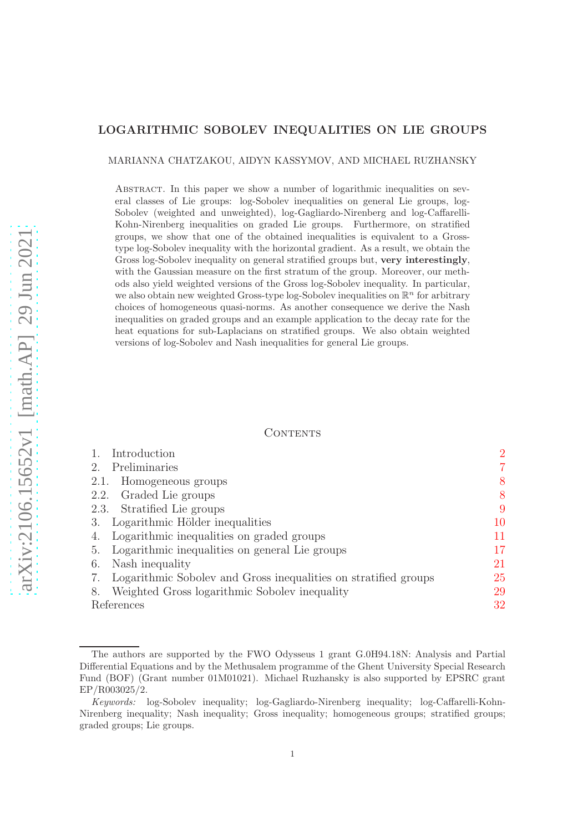# LOGARITHMIC SOBOLEV INEQUALITIES ON LIE GROUPS

#### MARIANNA CHATZAKOU, AIDYN KASSYMOV, AND MICHAEL RUZHANSKY

Abstract. In this paper we show a number of logarithmic inequalities on several classes of Lie groups: log-Sobolev inequalities on general Lie groups, log-Sobolev (weighted and unweighted), log-Gagliardo-Nirenberg and log-Caffarelli-Kohn-Nirenberg inequalities on graded Lie groups. Furthermore, on stratified groups, we show that one of the obtained inequalities is equivalent to a Grosstype log-Sobolev inequality with the horizontal gradient. As a result, we obtain the Gross log-Sobolev inequality on general stratified groups but, very interestingly, with the Gaussian measure on the first stratum of the group. Moreover, our methods also yield weighted versions of the Gross log-Sobolev inequality. In particular, we also obtain new weighted Gross-type log-Sobolev inequalities on  $\mathbb{R}^n$  for arbitrary choices of homogeneous quasi-norms. As another consequence we derive the Nash inequalities on graded groups and an example application to the decay rate for the heat equations for sub-Laplacians on stratified groups. We also obtain weighted versions of log-Sobolev and Nash inequalities for general Lie groups.

#### CONTENTS

| Introduction                                                    | $\overline{2}$ |
|-----------------------------------------------------------------|----------------|
| Preliminaries                                                   | 7              |
| Homogeneous groups<br>2.1.                                      | 8              |
| Graded Lie groups<br>2.2.                                       | 8              |
| 2.3. Stratified Lie groups                                      | 9              |
| 3. Logarithmic Hölder inequalities                              | 10             |
| Logarithmic inequalities on graded groups<br>4.                 | 11             |
| Logarithmic inequalities on general Lie groups<br>5.            | 17             |
| Nash inequality<br>6.                                           | 21             |
| Logarithmic Sobolev and Gross inequalities on stratified groups | <b>25</b>      |
| Weighted Gross logarithmic Sobolev inequality<br>8.             | 29             |
| References                                                      | 32             |

The authors are supported by the FWO Odysseus 1 grant G.0H94.18N: Analysis and Partial Differential Equations and by the Methusalem programme of the Ghent University Special Research Fund (BOF) (Grant number 01M01021). Michael Ruzhansky is also supported by EPSRC grant EP/R003025/2.

Keywords: log-Sobolev inequality; log-Gagliardo-Nirenberg inequality; log-Caffarelli-Kohn-Nirenberg inequality; Nash inequality; Gross inequality; homogeneous groups; stratified groups; graded groups; Lie groups.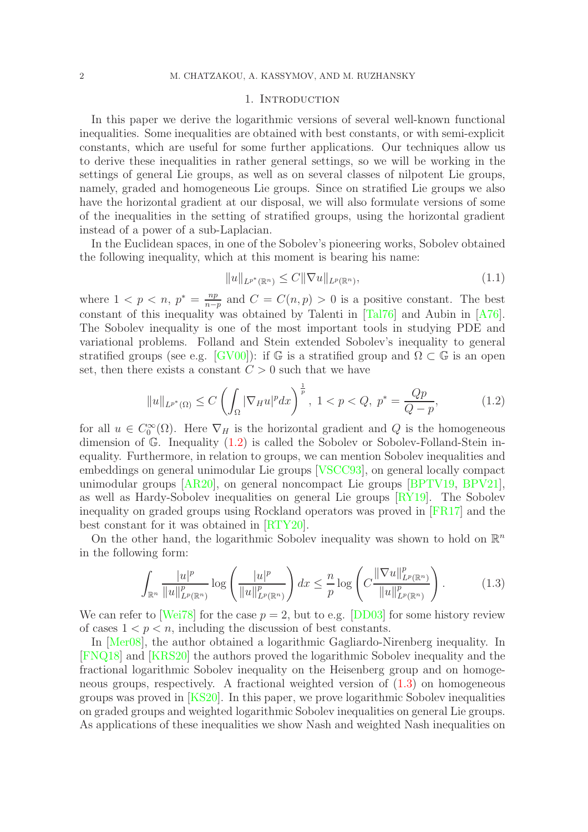#### 1. Introduction

<span id="page-1-0"></span>In this paper we derive the logarithmic versions of several well-known functional inequalities. Some inequalities are obtained with best constants, or with semi-explicit constants, which are useful for some further applications. Our techniques allow us to derive these inequalities in rather general settings, so we will be working in the settings of general Lie groups, as well as on several classes of nilpotent Lie groups, namely, graded and homogeneous Lie groups. Since on stratified Lie groups we also have the horizontal gradient at our disposal, we will also formulate versions of some of the inequalities in the setting of stratified groups, using the horizontal gradient instead of a power of a sub-Laplacian.

In the Euclidean spaces, in one of the Sobolev's pioneering works, Sobolev obtained the following inequality, which at this moment is bearing his name:

$$
||u||_{L^{p^*}(\mathbb{R}^n)} \le C||\nabla u||_{L^p(\mathbb{R}^n)},\tag{1.1}
$$

where  $1 < p < n, p^* = \frac{np}{n-p}$  $\frac{np}{n-p}$  and  $C = C(n, p) > 0$  is a positive constant. The best constant of this inequality was obtained by Talenti in [\[Tal76\]](#page-33-0) and Aubin in [\[A76\]](#page-31-1). The Sobolev inequality is one of the most important tools in studying PDE and variational problems. Folland and Stein extended Sobolev's inequality to general stratified groups (see e.g. [\[GV00\]](#page-32-0)): if G is a stratified group and  $\Omega \subset \mathbb{G}$  is an open set, then there exists a constant  $C > 0$  such that we have

<span id="page-1-1"></span>
$$
||u||_{L^{p^*}(\Omega)} \le C \left( \int_{\Omega} |\nabla_H u|^p dx \right)^{\frac{1}{p}}, \ 1 < p < Q, \ p^* = \frac{Qp}{Q-p}, \tag{1.2}
$$

for all  $u \in C_0^{\infty}(\Omega)$ . Here  $\nabla_H$  is the horizontal gradient and Q is the homogeneous dimension of  $\mathbb{G}$ . Inequality  $(1.2)$  is called the Sobolev or Sobolev-Folland-Stein inequality. Furthermore, in relation to groups, we can mention Sobolev inequalities and embeddings on general unimodular Lie groups [\[VSCC93\]](#page-33-1), on general locally compact unimodular groups [\[AR20\]](#page-31-2), on general noncompact Lie groups [\[BPTV19,](#page-31-3) [BPV21\]](#page-32-1), as well as Hardy-Sobolev inequalities on general Lie groups [\[RY19\]](#page-33-2). The Sobolev inequality on graded groups using Rockland operators was proved in [\[FR17\]](#page-32-2) and the best constant for it was obtained in [\[RTY20\]](#page-33-3).

On the other hand, the logarithmic Sobolev inequality was shown to hold on  $\mathbb{R}^n$ in the following form:

<span id="page-1-2"></span>
$$
\int_{\mathbb{R}^n} \frac{|u|^p}{\|u\|_{L^p(\mathbb{R}^n)}^p} \log \left(\frac{|u|^p}{\|u\|_{L^p(\mathbb{R}^n)}^p}\right) dx \le \frac{n}{p} \log \left(C \frac{\|\nabla u\|_{L^p(\mathbb{R}^n)}^p}{\|u\|_{L^p(\mathbb{R}^n)}^p}\right).
$$
(1.3)

We can refer to [\[Wei78\]](#page-33-4) for the case  $p = 2$ , but to e.g. [\[DD03\]](#page-32-3) for some history review of cases  $1 < p < n$ , including the discussion of best constants.

In [\[Mer08\]](#page-32-4), the author obtained a logarithmic Gagliardo-Nirenberg inequality. In [\[FNQ18\]](#page-32-5) and [\[KRS20\]](#page-32-6) the authors proved the logarithmic Sobolev inequality and the fractional logarithmic Sobolev inequality on the Heisenberg group and on homogeneous groups, respectively. A fractional weighted version of [\(1.3\)](#page-1-2) on homogeneous groups was proved in [\[KS20\]](#page-32-7). In this paper, we prove logarithmic Sobolev inequalities on graded groups and weighted logarithmic Sobolev inequalities on general Lie groups. As applications of these inequalities we show Nash and weighted Nash inequalities on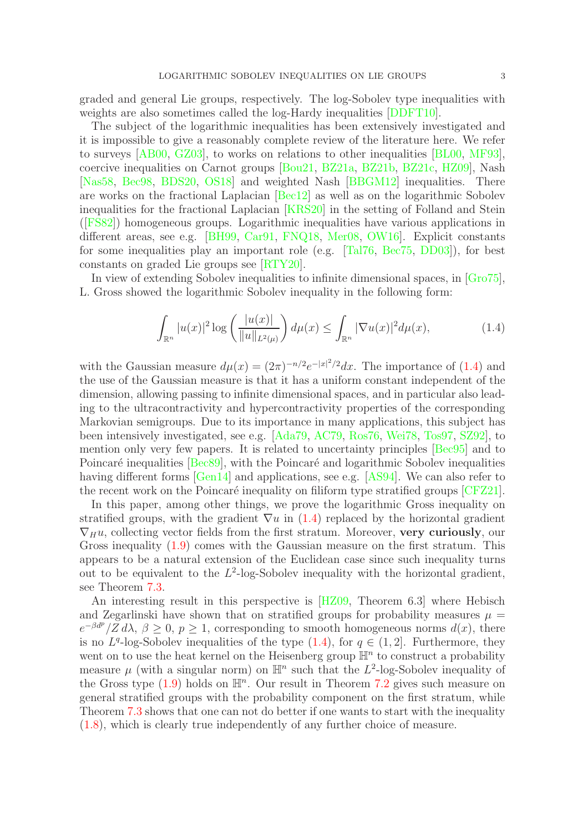graded and general Lie groups, respectively. The log-Sobolev type inequalities with weights are also sometimes called the log-Hardy inequalities [\[DDFT10\]](#page-32-8).

The subject of the logarithmic inequalities has been extensively investigated and it is impossible to give a reasonably complete review of the literature here. We refer to surveys [\[AB00,](#page-31-4) [GZ03\]](#page-32-9), to works on relations to other inequalities [\[BL00,](#page-31-5) [MF93\]](#page-32-10), coercive inequalities on Carnot groups [\[Bou21,](#page-31-6) [BZ21a,](#page-31-7) [BZ21b,](#page-31-8) [BZ21c,](#page-31-9) [HZ09\]](#page-32-11), Nash [\[Nas58,](#page-32-12) [Bec98,](#page-31-10) [BDS20,](#page-31-11) [OS18\]](#page-32-13) and weighted Nash [\[BBGM12\]](#page-31-12) inequalities. There are works on the fractional Laplacian [\[Bec12\]](#page-31-13) as well as on the logarithmic Sobolev inequalities for the fractional Laplacian [\[KRS20\]](#page-32-6) in the setting of Folland and Stein ([\[FS82\]](#page-32-14)) homogeneous groups. Logarithmic inequalities have various applications in different areas, see e.g. [\[BH99,](#page-31-14) [Car91,](#page-32-15) [FNQ18,](#page-32-5) [Mer08,](#page-32-4) [OW16\]](#page-33-5). Explicit constants for some inequalities play an important role (e.g. [\[Tal76,](#page-33-0) [Bec75,](#page-31-15) [DD03\]](#page-32-3)), for best constants on graded Lie groups see [\[RTY20\]](#page-33-3).

In view of extending Sobolev inequalities to infinite dimensional spaces, in [\[Gro75\]](#page-32-16), L. Gross showed the logarithmic Sobolev inequality in the following form:

<span id="page-2-0"></span>
$$
\int_{\mathbb{R}^n} |u(x)|^2 \log \left( \frac{|u(x)|}{\|u\|_{L^2(\mu)}} \right) d\mu(x) \le \int_{\mathbb{R}^n} |\nabla u(x)|^2 d\mu(x),\tag{1.4}
$$

with the Gaussian measure  $d\mu(x) = (2\pi)^{-n/2} e^{-|x|^2/2} dx$ . The importance of [\(1.4\)](#page-2-0) and the use of the Gaussian measure is that it has a uniform constant independent of the dimension, allowing passing to infinite dimensional spaces, and in particular also leading to the ultracontractivity and hypercontractivity properties of the corresponding Markovian semigroups. Due to its importance in many applications, this subject has been intensively investigated, see e.g. [\[Ada79,](#page-31-16) [AC79,](#page-31-17) [Ros76,](#page-33-6) [Wei78,](#page-33-4) [Tos97,](#page-33-7) [SZ92\]](#page-33-8), to mention only very few papers. It is related to uncertainty principles [\[Bec95\]](#page-31-18) and to Poincaré inequalities [\[Bec89\]](#page-31-19), with the Poincaré and logarithmic Sobolev inequalities having different forms [\[Gen14\]](#page-32-17) and applications, see e.g. [\[AS94\]](#page-31-20). We can also refer to the recent work on the Poincaré inequality on filiform type stratified groups  $[CFZ21]$ .

In this paper, among other things, we prove the logarithmic Gross inequality on stratified groups, with the gradient  $\nabla u$  in [\(1.4\)](#page-2-0) replaced by the horizontal gradient  $\nabla_H u$ , collecting vector fields from the first stratum. Moreover, very curiously, our Gross inequality [\(1.9\)](#page-4-0) comes with the Gaussian measure on the first stratum. This appears to be a natural extension of the Euclidean case since such inequality turns out to be equivalent to the  $L^2$ -log-Sobolev inequality with the horizontal gradient, see Theorem [7.3.](#page-27-0)

An interesting result in this perspective is [\[HZ09,](#page-32-11) Theorem 6.3] where Hebisch and Zegarlinski have shown that on stratified groups for probability measures  $\mu =$  $e^{-\beta d^p}/Z d\lambda$ ,  $\beta \geq 0$ ,  $p \geq 1$ , corresponding to smooth homogeneous norms  $d(x)$ , there is no  $L^q$ -log-Sobolev inequalities of the type  $(1.4)$ , for  $q \in (1,2]$ . Furthermore, they went on to use the heat kernel on the Heisenberg group  $\mathbb{H}^n$  to construct a probability measure  $\mu$  (with a singular norm) on  $\mathbb{H}^n$  such that the  $L^2$ -log-Sobolev inequality of the Gross type  $(1.9)$  holds on  $\mathbb{H}^n$ . Our result in Theorem [7.2](#page-25-0) gives such measure on general stratified groups with the probability component on the first stratum, while Theorem [7.3](#page-27-0) shows that one can not do better if one wants to start with the inequality [\(1.8\)](#page-4-1), which is clearly true independently of any further choice of measure.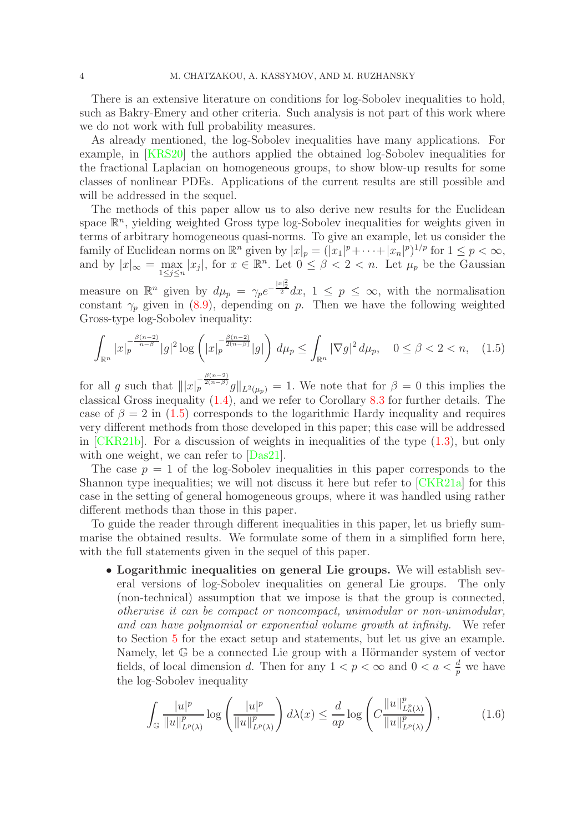There is an extensive literature on conditions for log-Sobolev inequalities to hold, such as Bakry-Emery and other criteria. Such analysis is not part of this work where we do not work with full probability measures.

As already mentioned, the log-Sobolev inequalities have many applications. For example, in [\[KRS20\]](#page-32-6) the authors applied the obtained log-Sobolev inequalities for the fractional Laplacian on homogeneous groups, to show blow-up results for some classes of nonlinear PDEs. Applications of the current results are still possible and will be addressed in the sequel.

The methods of this paper allow us to also derive new results for the Euclidean space  $\mathbb{R}^n$ , yielding weighted Gross type log-Sobolev inequalities for weights given in terms of arbitrary homogeneous quasi-norms. To give an example, let us consider the family of Euclidean norms on  $\mathbb{R}^n$  given by  $|x|_p = (|x_1|^p + \cdots + |x_n|^p)^{1/p}$  for  $1 \leq p < \infty$ , and by  $|x|_{\infty} = \max_{1 \leq j \leq n} |x_j|$ , for  $x \in \mathbb{R}^n$ . Let  $0 \leq \beta < 2 < n$ . Let  $\mu_p$  be the Gaussian

measure on  $\mathbb{R}^n$  given by  $d\mu_p = \gamma_p e^{-\frac{|x|^2}{2}} dx$ ,  $1 \leq p \leq \infty$ , with the normalisation constant  $\gamma_p$  given in [\(8.9\)](#page-30-0), depending on p. Then we have the following weighted Gross-type log-Sobolev inequality:

<span id="page-3-0"></span>
$$
\int_{\mathbb{R}^n} |x|_p^{-\frac{\beta(n-2)}{n-\beta}} |g|^2 \log \left( |x|_p^{-\frac{\beta(n-2)}{2(n-\beta)}} |g| \right) d\mu_p \le \int_{\mathbb{R}^n} |\nabla g|^2 d\mu_p, \quad 0 \le \beta < 2 < n, \quad (1.5)
$$

for all g such that  $|||x|_p^{\frac{\beta(n-2)}{2(n-\beta)}}g||_{L^2(\mu_p)} = 1$ . We note that for  $\beta = 0$  this implies the classical Gross inequality [\(1.4\)](#page-2-0), and we refer to Corollary [8.3](#page-30-1) for further details. The case of  $\beta = 2$  in [\(1.5\)](#page-3-0) corresponds to the logarithmic Hardy inequality and requires very different methods from those developed in this paper; this case will be addressed in [\[CKR21b\]](#page-32-19). For a discussion of weights in inequalities of the type [\(1.3\)](#page-1-2), but only with one weight, we can refer to  $[Das21]$ .

The case  $p = 1$  of the log-Sobolev inequalities in this paper corresponds to the Shannon type inequalities; we will not discuss it here but refer to [\[CKR21a\]](#page-32-21) for this case in the setting of general homogeneous groups, where it was handled using rather different methods than those in this paper.

To guide the reader through different inequalities in this paper, let us briefly summarise the obtained results. We formulate some of them in a simplified form here, with the full statements given in the sequel of this paper.

• Logarithmic inequalities on general Lie groups. We will establish several versions of log-Sobolev inequalities on general Lie groups. The only (non-technical) assumption that we impose is that the group is connected, otherwise it can be compact or noncompact, unimodular or non-unimodular, and can have polynomial or exponential volume growth at infinity. We refer to Section [5](#page-16-0) for the exact setup and statements, but let us give an example. Namely, let G be a connected Lie group with a Hörmander system of vector fields, of local dimension d. Then for any  $1 < p < \infty$  and  $0 < a < \frac{d}{p}$  we have the log-Sobolev inequality

<span id="page-3-1"></span>
$$
\int_{\mathbb{G}} \frac{|u|^p}{\|u\|_{L^p(\lambda)}^p} \log \left(\frac{|u|^p}{\|u\|_{L^p(\lambda)}^p}\right) d\lambda(x) \le \frac{d}{ap} \log \left(C \frac{\|u\|_{L^p(\lambda)}^p}{\|u\|_{L^p(\lambda)}^p}\right),\tag{1.6}
$$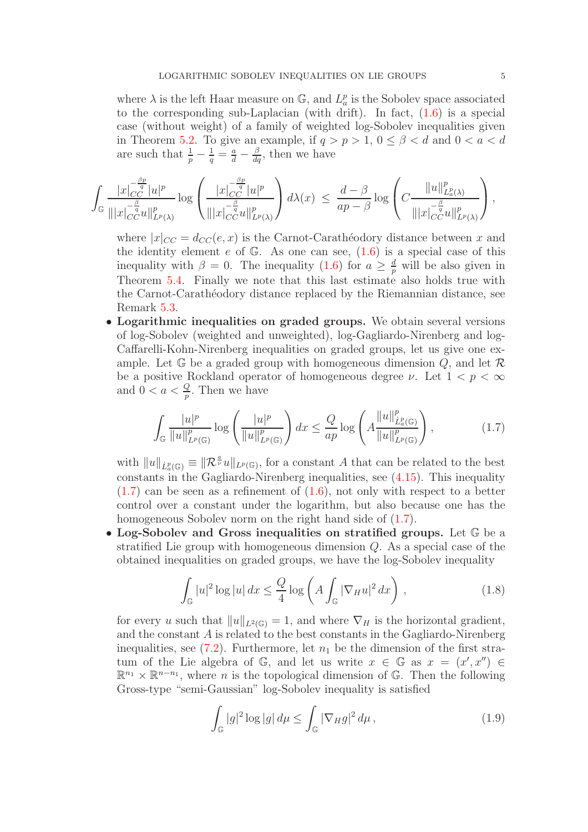where  $\lambda$  is the left Haar measure on  $\mathbb{G}$ , and  $L_a^p$  is the Sobolev space associated to the corresponding sub-Laplacian (with drift). In fact,  $(1.6)$  is a special case (without weight) of a family of weighted log-Sobolev inequalities given in Theorem [5.2.](#page-18-0) To give an example, if  $q > p > 1$ ,  $0 \le \beta < d$  and  $0 < a < d$ are such that  $\frac{1}{p} - \frac{1}{q} = \frac{a}{d} - \frac{\beta}{dq}$ , then we have

$$
\int_{\mathbb{G}}\frac{|x|_{CC}^{-\frac{\beta p}{q}}|u|^p}{\||x|_{CC}^{-\frac{\beta}{q}}u\|_{L^p(\lambda)}^p}\log\left(\frac{|x|_{CC}^{-\frac{\beta p}{q}}|u|^p}{\||x|_{CC}^{-\frac{\beta}{q}}u\|_{L^p(\lambda)}^p}\right)d\lambda(x) \leq \frac{d-\beta}{ap-\beta}\log\left(C\frac{\|u\|_{L^p(\lambda)}^p}{\||x|_{CC}^{-\frac{\beta}{q}}u\|_{L^p(\lambda)}^p}\right),
$$

where  $|x|_{CC} = d_{CC}(e, x)$  is the Carnot-Carathéodory distance between x and the identity element e of  $\mathbb{G}$ . As one can see,  $(1.6)$  is a special case of this inequality with  $\beta = 0$ . The inequality  $(1.6)$  for  $a \geq \frac{d}{p}$  will be also given in Theorem [5.4.](#page-19-0) Finally we note that this last estimate also holds true with the Carnot-Carathéodory distance replaced by the Riemannian distance, see Remark [5.3.](#page-19-1)

• Logarithmic inequalities on graded groups. We obtain several versions of log-Sobolev (weighted and unweighted), log-Gagliardo-Nirenberg and log-Caffarelli-Kohn-Nirenberg inequalities on graded groups, let us give one example. Let  $\mathbb{G}$  be a graded group with homogeneous dimension  $Q$ , and let  $\mathcal{R}$ be a positive Rockland operator of homogeneous degree  $\nu$ . Let  $1 < p < \infty$ and  $0 < a < \frac{Q}{p}$ . Then we have

<span id="page-4-2"></span>
$$
\int_{\mathbb{G}} \frac{|u|^p}{\|u\|_{L^p(\mathbb{G})}^p} \log \left(\frac{|u|^p}{\|u\|_{L^p(\mathbb{G})}^p}\right) dx \le \frac{Q}{ap} \log \left(A \frac{\|u\|_{\dot{L}^p(\mathbb{G})}^p}{\|u\|_{L^p(\mathbb{G})}^p}\right),\tag{1.7}
$$

with  $||u||_{\dot{L}^p_a(\mathbb{G})} \equiv ||\mathcal{R}^{\frac{a}{\nu}}u||_{L^p(\mathbb{G})}$ , for a constant A that can be related to the best constants in the Gagliardo-Nirenberg inequalities, see [\(4.15\)](#page-13-0). This inequality  $(1.7)$  can be seen as a refinement of  $(1.6)$ , not only with respect to a better control over a constant under the logarithm, but also because one has the homogeneous Sobolev norm on the right hand side of  $(1.7)$ .

• Log-Sobolev and Gross inequalities on stratified groups. Let  $\mathbb G$  be a stratified Lie group with homogeneous dimension Q. As a special case of the obtained inequalities on graded groups, we have the log-Sobolev inequality

<span id="page-4-1"></span>
$$
\int_{\mathbb{G}} |u|^2 \log |u| \, dx \le \frac{Q}{4} \log \left( A \int_{\mathbb{G}} |\nabla_H u|^2 \, dx \right) ,\tag{1.8}
$$

for every u such that  $||u||_{L^2(\mathbb{G})} = 1$ , and where  $\nabla_H$  is the horizontal gradient, and the constant A is related to the best constants in the Gagliardo-Nirenberg inequalities, see [\(7.2\)](#page-25-1). Furthermore, let  $n_1$  be the dimension of the first stratum of the Lie algebra of G, and let us write  $x \in \mathbb{G}$  as  $x = (x', x'') \in$  $\mathbb{R}^{n_1} \times \mathbb{R}^{n-n_1}$ , where *n* is the topological dimension of G. Then the following Gross-type "semi-Gaussian" log-Sobolev inequality is satisfied

<span id="page-4-0"></span>
$$
\int_{\mathbb{G}} |g|^2 \log |g| \, d\mu \le \int_{\mathbb{G}} |\nabla_H g|^2 \, d\mu \,, \tag{1.9}
$$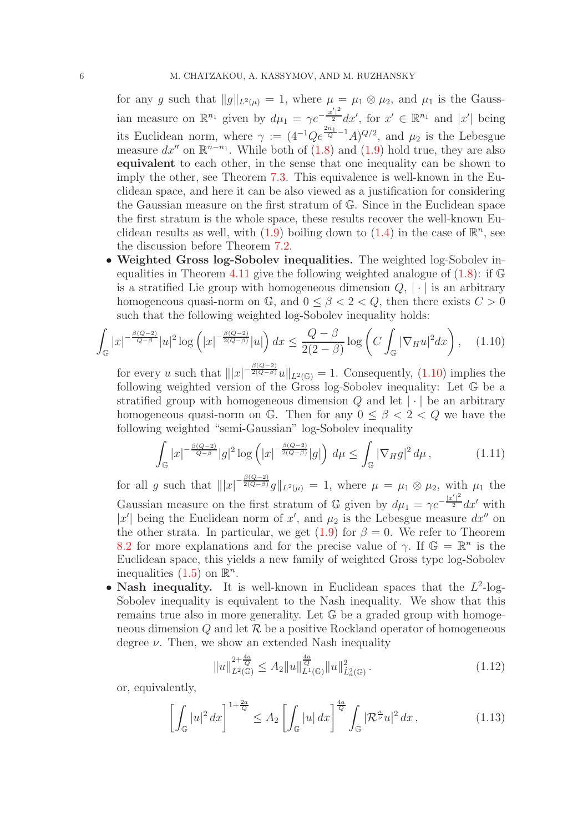for any g such that  $||g||_{L^2(\mu)} = 1$ , where  $\mu = \mu_1 \otimes \mu_2$ , and  $\mu_1$  is the Gaussian measure on  $\mathbb{R}^{n_1}$  given by  $d\mu_1 = \gamma e^{-\frac{|x'|^2}{2}} dx'$ , for  $x' \in \mathbb{R}^{n_1}$  and  $|x'|$  being its Euclidean norm, where  $\gamma := (4^{-1}Qe^{\frac{2n_1}{Q}-1}A)^{Q/2}$ , and  $\mu_2$  is the Lebesgue measure  $dx''$  on  $\mathbb{R}^{n-n_1}$ . While both of  $(1.8)$  and  $(1.9)$  hold true, they are also equivalent to each other, in the sense that one inequality can be shown to imply the other, see Theorem [7.3.](#page-27-0) This equivalence is well-known in the Euclidean space, and here it can be also viewed as a justification for considering the Gaussian measure on the first stratum of G. Since in the Euclidean space the first stratum is the whole space, these results recover the well-known Euclidean results as well, with  $(1.9)$  boiling down to  $(1.4)$  in the case of  $\mathbb{R}^n$ , see the discussion before Theorem [7.2.](#page-25-0)

• Weighted Gross log-Sobolev inequalities. The weighted log-Sobolev in-equalities in Theorem [4.11](#page-15-0) give the following weighted analogue of  $(1.8)$ : if G is a stratified Lie group with homogeneous dimension  $Q, |\cdot|$  is an arbitrary homogeneous quasi-norm on  $\mathbb{G}$ , and  $0 \leq \beta < 2 < Q$ , then there exists  $C > 0$ such that the following weighted log-Sobolev inequality holds:

<span id="page-5-0"></span>
$$
\int_{\mathbb{G}} |x|^{-\frac{\beta(Q-2)}{Q-\beta}} |u|^2 \log \left( |x|^{-\frac{\beta(Q-2)}{2(Q-\beta)}} |u| \right) dx \le \frac{Q-\beta}{2(2-\beta)} \log \left( C \int_{\mathbb{G}} |\nabla_H u|^2 dx \right), \quad (1.10)
$$

for every u such that  $||x|^{-\frac{\beta(Q-2)}{2(Q-\beta)}}u||_{L^2(\mathbb{G})}=1$ . Consequently, [\(1.10\)](#page-5-0) implies the following weighted version of the Gross log-Sobolev inequality: Let G be a stratified group with homogeneous dimension  $Q$  and let  $|\cdot|$  be an arbitrary homogeneous quasi-norm on G. Then for any  $0 \leq \beta \leq 2 \leq Q$  we have the following weighted "semi-Gaussian" log-Sobolev inequality

$$
\int_{\mathbb{G}} |x|^{-\frac{\beta(Q-2)}{Q-\beta}} |g|^2 \log \left( |x|^{-\frac{\beta(Q-2)}{2(Q-\beta)}} |g| \right) d\mu \le \int_{\mathbb{G}} |\nabla_H g|^2 d\mu, \tag{1.11}
$$

for all g such that  $|||x|^{-\frac{\beta(Q-2)}{2(Q-\beta)}}g||_{L^2(\mu)} = 1$ , where  $\mu = \mu_1 \otimes \mu_2$ , with  $\mu_1$  the Gaussian measure on the first stratum of  $\mathbb{G}$  given by  $d\mu_1 = \gamma e^{-\frac{|x'|^2}{2}} dx'$  with |x'| being the Euclidean norm of x', and  $\mu_2$  is the Lebesgue measure  $dx''$  on the other strata. In particular, we get  $(1.9)$  for  $\beta = 0$ . We refer to Theorem [8.2](#page-29-0) for more explanations and for the precise value of  $\gamma$ . If  $\mathbb{G} = \mathbb{R}^n$  is the Euclidean space, this yields a new family of weighted Gross type log-Sobolev inequalities  $(1.5)$  on  $\mathbb{R}^n$ .

• Nash inequality. It is well-known in Euclidean spaces that the  $L^2$ -log-Sobolev inequality is equivalent to the Nash inequality. We show that this remains true also in more generality. Let G be a graded group with homogeneous dimension  $Q$  and let  $R$  be a positive Rockland operator of homogeneous degree  $\nu$ . Then, we show an extended Nash inequality

$$
||u||_{L^{2}(\mathbb{G})}^{2+\frac{4a}{Q}} \leq A_{2}||u||_{L^{1}(\mathbb{G})}^{\frac{4a}{Q}}||u||_{L^{2}_{a}(\mathbb{G})}^{2}.
$$
\n(1.12)

or, equivalently,

<span id="page-5-1"></span>
$$
\left[\int_{\mathbb{G}}|u|^{2}dx\right]^{1+\frac{2a}{Q}} \leq A_{2}\left[\int_{\mathbb{G}}|u|dx\right]^{\frac{4a}{Q}}\int_{\mathbb{G}}|\mathcal{R}^{\frac{a}{\nu}}u|^{2}dx\,,\tag{1.13}
$$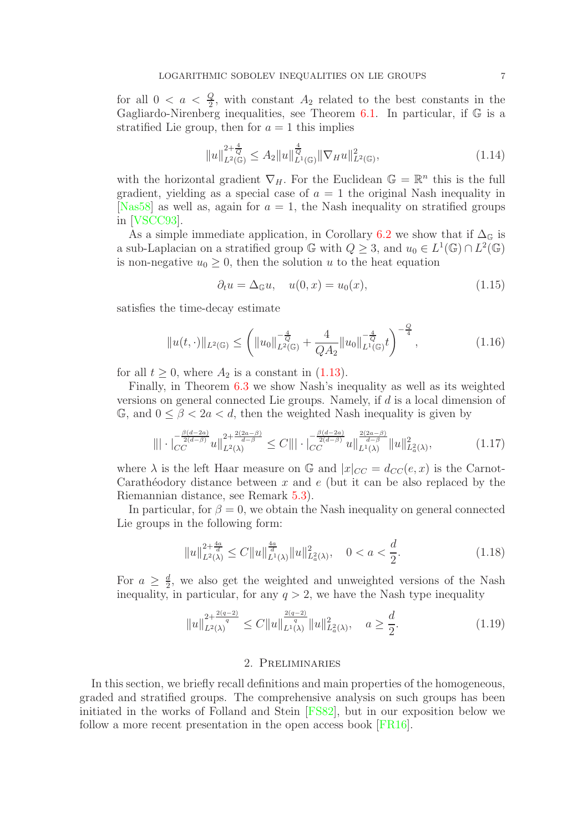for all  $0 < a < \frac{Q}{2}$ , with constant  $A_2$  related to the best constants in the Gagliardo-Nirenberg inequalities, see Theorem [6.1.](#page-21-0) In particular, if  $\mathbb G$  is a stratified Lie group, then for  $a = 1$  this implies

$$
||u||_{L^{2}(\mathbb{G})}^{2+\frac{4}{Q}} \leq A_{2}||u||_{L^{1}(\mathbb{G})}^{\frac{4}{Q}}||\nabla_{H}u||_{L^{2}(\mathbb{G})}^{2}, \qquad (1.14)
$$

with the horizontal gradient  $\nabla_H$ . For the Euclidean  $\mathbb{G} = \mathbb{R}^n$  this is the full gradient, yielding as a special case of  $a = 1$  the original Nash inequality in [\[Nas58\]](#page-32-12) as well as, again for  $a = 1$ , the Nash inequality on stratified groups in [\[VSCC93\]](#page-33-1).

As a simple immediate application, in Corollary [6.2](#page-22-0) we show that if  $\Delta_{\mathbb{G}}$  is a sub-Laplacian on a stratified group  $\mathbb{G}$  with  $Q \geq 3$ , and  $u_0 \in L^1(\mathbb{G}) \cap L^2(\mathbb{G})$ is non-negative  $u_0 \geq 0$ , then the solution u to the heat equation

$$
\partial_t u = \Delta_{\mathbb{G}} u, \quad u(0, x) = u_0(x), \tag{1.15}
$$

satisfies the time-decay estimate

$$
||u(t, \cdot)||_{L^{2}(\mathbb{G})} \leq \left(||u_{0}||_{L^{2}(\mathbb{G})}^{-\frac{4}{Q}} + \frac{4}{QA_{2}}||u_{0}||_{L^{1}(\mathbb{G})}^{-\frac{4}{Q}}t\right)^{-\frac{Q}{4}},
$$
\n(1.16)

for all  $t > 0$ , where  $A_2$  is a constant in [\(1.13\)](#page-5-1).

Finally, in Theorem [6.3](#page-22-1) we show Nash's inequality as well as its weighted versions on general connected Lie groups. Namely, if d is a local dimension of  $\mathbb{G}$ , and  $0 \leq \beta < 2a < d$ , then the weighted Nash inequality is given by

$$
\|\cdot\|_{CC}^{-\frac{\beta(d-2a)}{2(d-\beta)}}u\|_{L^{2}(\lambda)}^{2+\frac{2(2a-\beta)}{d-\beta}} \leq C\||\cdot\|_{CC}^{-\frac{\beta(d-2a)}{2(d-\beta)}}u\|_{L^{1}(\lambda)}^{\frac{2(2a-\beta)}{d-\beta}}\|u\|_{L^{2}(\lambda)}^{2},\tag{1.17}
$$

where  $\lambda$  is the left Haar measure on G and  $|x|_{CC} = d_{CC}(e, x)$  is the Carnot-Carathéodory distance between x and  $e$  (but it can be also replaced by the Riemannian distance, see Remark [5.3\)](#page-19-1).

In particular, for  $\beta = 0$ , we obtain the Nash inequality on general connected Lie groups in the following form:

$$
||u||_{L^{2}(\lambda)}^{2+\frac{4a}{d}} \leq C||u||_{L^{1}(\lambda)}^{\frac{4a}{d}}||u||_{L^{2}(\lambda)}^{2}, \quad 0 < a < \frac{d}{2}.
$$
 (1.18)

For  $a \geq \frac{d}{2}$  $\frac{d}{2}$ , we also get the weighted and unweighted versions of the Nash inequality, in particular, for any  $q > 2$ , we have the Nash type inequality

$$
||u||_{L^{2}(\lambda)}^{2+\frac{2(q-2)}{q}} \le C||u||_{L^{1}(\lambda)}^{\frac{2(q-2)}{q}}||u||_{L^{2}(\lambda)}^{2}, \quad a \ge \frac{d}{2}.
$$
\n(1.19)

### 2. Preliminaries

<span id="page-6-0"></span>In this section, we briefly recall definitions and main properties of the homogeneous, graded and stratified groups. The comprehensive analysis on such groups has been initiated in the works of Folland and Stein [\[FS82\]](#page-32-14), but in our exposition below we follow a more recent presentation in the open access book [\[FR16\]](#page-32-22).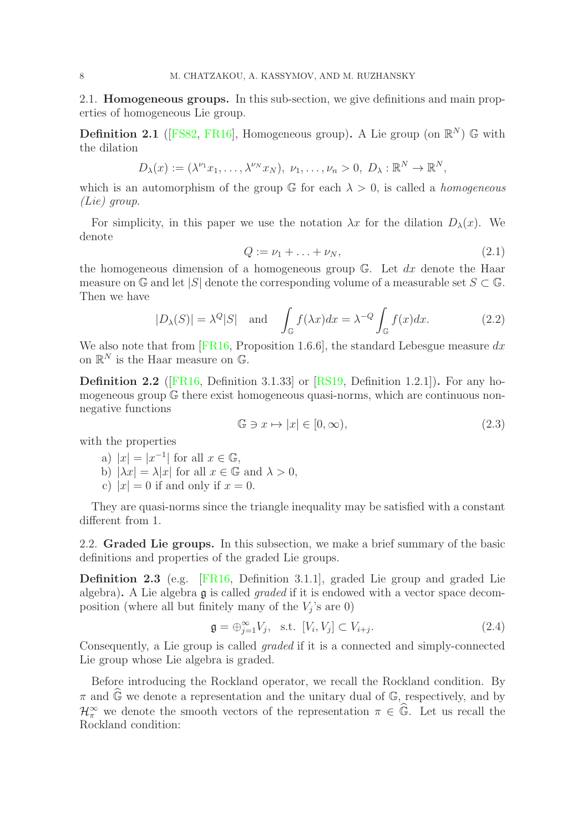<span id="page-7-0"></span>2.1. Homogeneous groups. In this sub-section, we give definitions and main properties of homogeneous Lie group.

**Definition 2.1** ([\[FS82,](#page-32-14) [FR16\]](#page-32-22), Homogeneous group). A Lie group (on  $\mathbb{R}^N$ ) G with the dilation

$$
D_{\lambda}(x):=(\lambda^{\nu_1}x_1,\ldots,\lambda^{\nu_N}x_N),\ \nu_1,\ldots,\nu_n>0,\ D_{\lambda}:\mathbb{R}^N\to\mathbb{R}^N,
$$

which is an automorphism of the group  $\mathbb{G}$  for each  $\lambda > 0$ , is called a *homogeneous* (Lie) group.

For simplicity, in this paper we use the notation  $\lambda x$  for the dilation  $D_{\lambda}(x)$ . We denote

$$
Q := \nu_1 + \ldots + \nu_N,\tag{2.1}
$$

the homogeneous dimension of a homogeneous group  $\mathbb{G}$ . Let dx denote the Haar measure on  $\mathbb{G}$  and let  $|S|$  denote the corresponding volume of a measurable set  $S \subset \mathbb{G}$ . Then we have

$$
|D_{\lambda}(S)| = \lambda^{Q}|S| \text{ and } \int_{\mathbb{G}} f(\lambda x)dx = \lambda^{-Q} \int_{\mathbb{G}} f(x)dx.
$$
 (2.2)

We also note that from [\[FR16,](#page-32-22) Proposition 1.6.6], the standard Lebesgue measure  $dx$ on  $\mathbb{R}^N$  is the Haar measure on  $\mathbb{G}$ .

Definition 2.2 ([\[FR16,](#page-32-22) Definition 3.1.33] or [\[RS19,](#page-33-9) Definition 1.2.1]). For any homogeneous group G there exist homogeneous quasi-norms, which are continuous nonnegative functions

$$
\mathbb{G} \ni x \mapsto |x| \in [0, \infty),\tag{2.3}
$$

with the properties

a) 
$$
|x| = |x^{-1}|
$$
 for all  $x \in \mathbb{G}$ ,

- b)  $|\lambda x| = \lambda |x|$  for all  $x \in \mathbb{G}$  and  $\lambda > 0$ ,
- c)  $|x| = 0$  if and only if  $x = 0$ .

They are quasi-norms since the triangle inequality may be satisfied with a constant different from 1.

<span id="page-7-1"></span>2.2. Graded Lie groups. In this subsection, we make a brief summary of the basic definitions and properties of the graded Lie groups.

Definition 2.3 (e.g. [\[FR16,](#page-32-22) Definition 3.1.1], graded Lie group and graded Lie algebra). A Lie algebra g is called *graded* if it is endowed with a vector space decomposition (where all but finitely many of the  $V_j$ 's are 0)

$$
\mathfrak{g} = \bigoplus_{j=1}^{\infty} V_j, \quad \text{s.t.} \quad [V_i, V_j] \subset V_{i+j}.
$$
\n
$$
(2.4)
$$

Consequently, a Lie group is called graded if it is a connected and simply-connected Lie group whose Lie algebra is graded.

Before introducing the Rockland operator, we recall the Rockland condition. By  $\pi$  and  $\mathbb{G}$  we denote a representation and the unitary dual of  $\mathbb{G}$ , respectively, and by  $\mathcal{H}_{\pi}^{\infty}$  we denote the smooth vectors of the representation  $\pi \in \widehat{\mathbb{G}}$ . Let us recall the Rockland condition: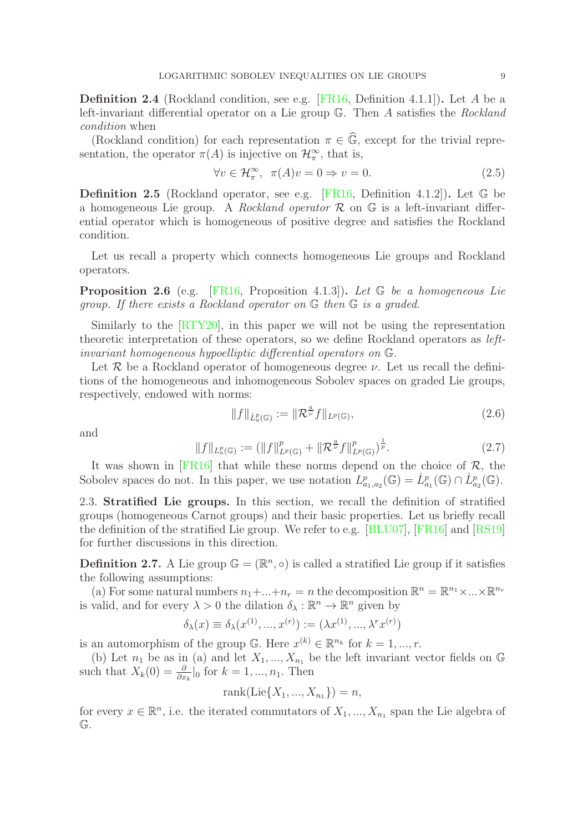Definition 2.4 (Rockland condition, see e.g. [\[FR16,](#page-32-22) Definition 4.1.1]). Let A be a left-invariant differential operator on a Lie group G. Then A satisfies the Rockland condition when

(Rockland condition) for each representation  $\pi \in \widehat{\mathbb{G}}$ , except for the trivial representation, the operator  $\pi(A)$  is injective on  $\mathcal{H}_{\pi}^{\infty}$ , that is,

$$
\forall v \in \mathcal{H}_{\pi}^{\infty}, \ \pi(A)v = 0 \Rightarrow v = 0.
$$
 (2.5)

Definition 2.5 (Rockland operator, see e.g. [\[FR16,](#page-32-22) Definition 4.1.2]). Let G be a homogeneous Lie group. A Rockland operator  $\mathcal R$  on  $\mathbb G$  is a left-invariant differential operator which is homogeneous of positive degree and satisfies the Rockland condition.

Let us recall a property which connects homogeneous Lie groups and Rockland operators.

Proposition 2.6 (e.g. [\[FR16,](#page-32-22) Proposition 4.1.3]). Let G be a homogeneous Lie group. If there exists a Rockland operator on G then G is a graded.

Similarly to the [\[RTY20\]](#page-33-3), in this paper we will not be using the representation theoretic interpretation of these operators, so we define Rockland operators as leftinvariant homogeneous hypoelliptic differential operators on G.

Let  $\mathcal R$  be a Rockland operator of homogeneous degree  $\nu$ . Let us recall the definitions of the homogeneous and inhomogeneous Sobolev spaces on graded Lie groups, respectively, endowed with norms:

$$
||f||_{\dot{L}^p_a(\mathbb{G})} := ||\mathcal{R}^{\frac{a}{\nu}}f||_{L^p(\mathbb{G})},\tag{2.6}
$$

and

$$
||f||_{L^p_a(\mathbb{G})} := (||f||^p_{L^p(\mathbb{G})} + ||\mathcal{R}^{\frac{a}{\nu}}f||^p_{L^p(\mathbb{G})})^{\frac{1}{p}}.
$$
\n(2.7)

It was shown in [\[FR16\]](#page-32-22) that while these norms depend on the choice of  $\mathcal{R}$ , the Sobolev spaces do not. In this paper, we use notation  $L^p_{a_1,a_2}(\mathbb{G}) = \dot{L}^p_{a_1}(\mathbb{G}) \cap \dot{L}^p_{a_2}(\mathbb{G})$ .

<span id="page-8-0"></span>2.3. Stratified Lie groups. In this section, we recall the definition of stratified groups (homogeneous Carnot groups) and their basic properties. Let us briefly recall the definition of the stratified Lie group. We refer to e.g. [\[BLU07\]](#page-31-21), [\[FR16\]](#page-32-22) and [\[RS19\]](#page-33-9) for further discussions in this direction.

**Definition 2.7.** A Lie group  $\mathbb{G} = (\mathbb{R}^n, \circ)$  is called a stratified Lie group if it satisfies the following assumptions:

(a) For some natural numbers  $n_1 + ... + n_r = n$  the decomposition  $\mathbb{R}^n = \mathbb{R}^{n_1} \times ... \times \mathbb{R}^{n_r}$ is valid, and for every  $\lambda > 0$  the dilation  $\delta_{\lambda} : \mathbb{R}^n \to \mathbb{R}^n$  given by

$$
\delta_{\lambda}(x) \equiv \delta_{\lambda}(x^{(1)}, ..., x^{(r)}) := (\lambda x^{(1)}, ..., \lambda^{r} x^{(r)})
$$

is an automorphism of the group  $\mathbb{G}$ . Here  $x^{(k)} \in \mathbb{R}^{n_k}$  for  $k = 1, ..., r$ .

(b) Let  $n_1$  be as in (a) and let  $X_1, ..., X_{n_1}$  be the left invariant vector fields on G such that  $X_k(0) = \frac{\partial}{\partial x_k}|_0$  for  $k = 1, ..., n_1$ . Then

$$
rank(Lie\{X_1, ..., X_{n_1}\}) = n,
$$

for every  $x \in \mathbb{R}^n$ , i.e. the iterated commutators of  $X_1, ..., X_{n_1}$  span the Lie algebra of G.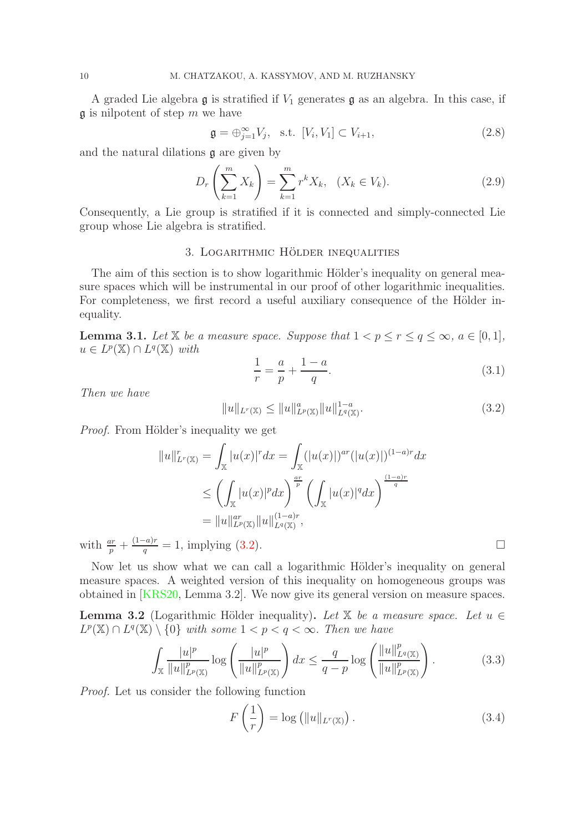A graded Lie algebra  $\mathfrak g$  is stratified if  $V_1$  generates  $\mathfrak g$  as an algebra. In this case, if  $\mathfrak g$  is nilpotent of step m we have

$$
\mathfrak{g} = \bigoplus_{j=1}^{\infty} V_j, \quad \text{s.t.} \quad [V_i, V_1] \subset V_{i+1}, \tag{2.8}
$$

and the natural dilations g are given by

$$
D_r\left(\sum_{k=1}^m X_k\right) = \sum_{k=1}^m r^k X_k, \quad (X_k \in V_k). \tag{2.9}
$$

<span id="page-9-0"></span>Consequently, a Lie group is stratified if it is connected and simply-connected Lie group whose Lie algebra is stratified.

# 3. LOGARITHMIC HÖLDER INEQUALITIES

The aim of this section is to show logarithmic Hölder's inequality on general measure spaces which will be instrumental in our proof of other logarithmic inequalities. For completeness, we first record a useful auxiliary consequence of the Hölder inequality.

<span id="page-9-2"></span>**Lemma 3.1.** Let X be a measure space. Suppose that  $1 < p \le r \le q \le \infty$ ,  $a \in [0,1]$ ,  $u \in L^p(\mathbb{X}) \cap L^q(\mathbb{X})$  with

$$
\frac{1}{r} = \frac{a}{p} + \frac{1-a}{q}.\tag{3.1}
$$

Then we have

<span id="page-9-1"></span>
$$
||u||_{L^{r}(\mathbb{X})} \leq ||u||_{L^{p}(\mathbb{X})}^{a} ||u||_{L^{q}(\mathbb{X})}^{1-a}.
$$
\n(3.2)

*Proof.* From Hölder's inequality we get

$$
||u||_{L^{r}(\mathbb{X})}^{r} = \int_{\mathbb{X}} |u(x)|^{r} dx = \int_{\mathbb{X}} (|u(x)|)^{ar} (|u(x)|)^{(1-a)r} dx
$$
  
\n
$$
\leq \left( \int_{\mathbb{X}} |u(x)|^{p} dx \right)^{\frac{ar}{p}} \left( \int_{\mathbb{X}} |u(x)|^{q} dx \right)^{\frac{(1-a)r}{q}}
$$
  
\n
$$
= ||u||_{L^{p}(\mathbb{X})}^{ar} ||u||_{L^{q}(\mathbb{X})}^{(1-a)r},
$$

with  $\frac{ar}{p} + \frac{(1-a)r}{q}$  $\frac{q}{q} = 1$ , implying [\(3.2\)](#page-9-1).

Now let us show what we can call a logarithmic Hölder's inequality on general measure spaces. A weighted version of this inequality on homogeneous groups was obtained in [\[KRS20,](#page-32-6) Lemma 3.2]. We now give its general version on measure spaces.

<span id="page-9-5"></span>**Lemma 3.2** (Logarithmic Hölder inequality). Let X be a measure space. Let  $u \in$  $L^p(\mathbb{X}) \cap L^q(\mathbb{X}) \setminus \{0\}$  with some  $1 < p < q < \infty$ . Then we have

<span id="page-9-4"></span>
$$
\int_{\mathbb{X}} \frac{|u|^p}{\|u\|_{L^p(\mathbb{X})}^p} \log \left( \frac{|u|^p}{\|u\|_{L^p(\mathbb{X})}^p} \right) dx \le \frac{q}{q-p} \log \left( \frac{\|u\|_{L^q(\mathbb{X})}^p}{\|u\|_{L^p(\mathbb{X})}^p} \right). \tag{3.3}
$$

Proof. Let us consider the following function

<span id="page-9-3"></span>
$$
F\left(\frac{1}{r}\right) = \log\left(\|u\|_{L^r(\mathbb{X})}\right). \tag{3.4}
$$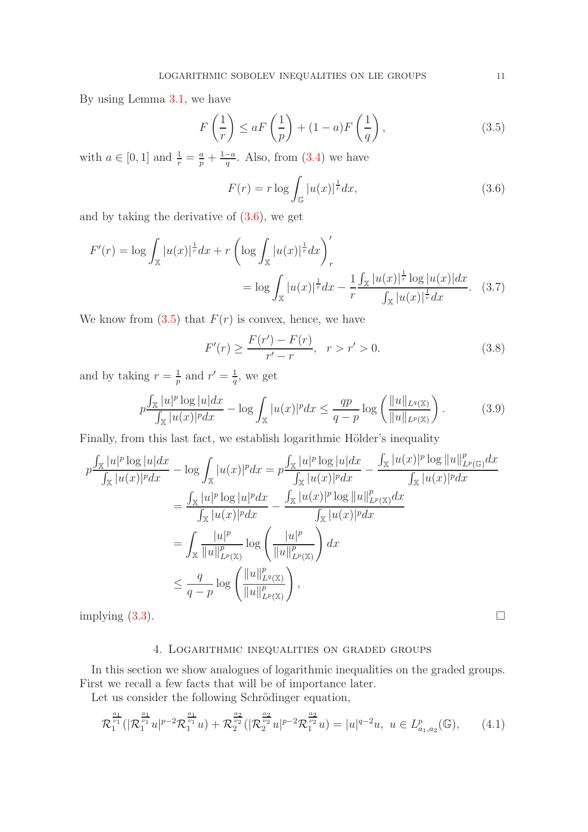By using Lemma [3.1,](#page-9-2) we have

<span id="page-10-2"></span>
$$
F\left(\frac{1}{r}\right) \le aF\left(\frac{1}{p}\right) + (1-a)F\left(\frac{1}{q}\right),\tag{3.5}
$$

with  $a \in [0, 1]$  and  $\frac{1}{r} = \frac{a}{p} + \frac{1-a}{q}$  $\frac{-a}{q}$ . Also, from  $(3.4)$  we have

<span id="page-10-1"></span>
$$
F(r) = r \log \int_{\mathbb{G}} |u(x)|^{\frac{1}{r}} dx,
$$
\n(3.6)

and by taking the derivative of [\(3.6\)](#page-10-1), we get

$$
F'(r) = \log \int_{\mathbb{X}} |u(x)|^{\frac{1}{r}} dx + r \left( \log \int_{\mathbb{X}} |u(x)|^{\frac{1}{r}} dx \right)_{r}'
$$
  
= 
$$
\log \int_{\mathbb{X}} |u(x)|^{\frac{1}{r}} dx - \frac{1}{r} \frac{\int_{\mathbb{X}} |u(x)|^{\frac{1}{r}} \log |u(x)| dx}{\int_{\mathbb{X}} |u(x)|^{\frac{1}{r}} dx}.
$$
 (3.7)

We know from  $(3.5)$  that  $F(r)$  is convex, hence, we have

$$
F'(r) \ge \frac{F(r') - F(r)}{r' - r}, \quad r > r' > 0.
$$
\n(3.8)

and by taking  $r = \frac{1}{n}$  $rac{1}{p}$  and  $r' = \frac{1}{q}$  $\frac{1}{q}$ , we get

$$
p\frac{\int_{\mathbb{X}}|u|^p \log |u|dx}{\int_{\mathbb{X}}|u(x)|^p dx} - \log \int_{\mathbb{X}}|u(x)|^p dx \le \frac{qp}{q-p} \log \left(\frac{\|u\|_{L^q(\mathbb{X})}}{\|u\|_{L^p(\mathbb{X})}}\right). \tag{3.9}
$$

Finally, from this last fact, we establish logarithmic Hölder's inequality

$$
p \frac{\int_{\mathbb{X}} |u|^p \log |u| dx}{\int_{\mathbb{X}} |u(x)|^p dx} - \log \int_{\mathbb{X}} |u(x)|^p dx = p \frac{\int_{\mathbb{X}} |u|^p \log |u| dx}{\int_{\mathbb{X}} |u(x)|^p dx} - \frac{\int_{\mathbb{X}} |u(x)|^p \log ||u||_{L^p(\mathbb{G})}^p dx}{\int_{\mathbb{X}} |u(x)|^p dx}
$$
  

$$
= \frac{\int_{\mathbb{X}} |u|^p \log |u|^p dx}{\int_{\mathbb{X}} |u(x)|^p dx} - \frac{\int_{\mathbb{X}} |u(x)|^p \log ||u||_{L^p(\mathbb{X})}^p dx}{\int_{\mathbb{X}} |u(x)|^p dx}
$$
  

$$
= \int_{\mathbb{X}} \frac{|u|^p}{||u||_{L^p(\mathbb{X})}^p} \log \left( \frac{|u|^p}{||u||_{L^p(\mathbb{X})}^p} \right) dx
$$
  

$$
\leq \frac{q}{q-p} \log \left( \frac{||u||_{L^q(\mathbb{X})}^p}{||u||_{L^p(\mathbb{X})}^p} \right),
$$

<span id="page-10-0"></span>implying  $(3.3)$ .

# 4. Logarithmic inequalities on graded groups

In this section we show analogues of logarithmic inequalities on the graded groups. First we recall a few facts that will be of importance later.

Let us consider the following Schrödinger equation,

<span id="page-10-3"></span>
$$
\mathcal{R}_1^{\frac{a_1}{\nu_1}}(|\mathcal{R}_1^{\frac{a_1}{\nu_1}}u|^{p-2}\mathcal{R}_1^{\frac{a_1}{\nu_1}}u) + \mathcal{R}_2^{\frac{a_2}{\nu_2}}(|\mathcal{R}_2^{\frac{a_2}{\nu_2}}u|^{p-2}\mathcal{R}_1^{\frac{a_2}{\nu_2}}u) = |u|^{q-2}u, \ u \in L^p_{a_1, a_2}(\mathbb{G}), \qquad (4.1)
$$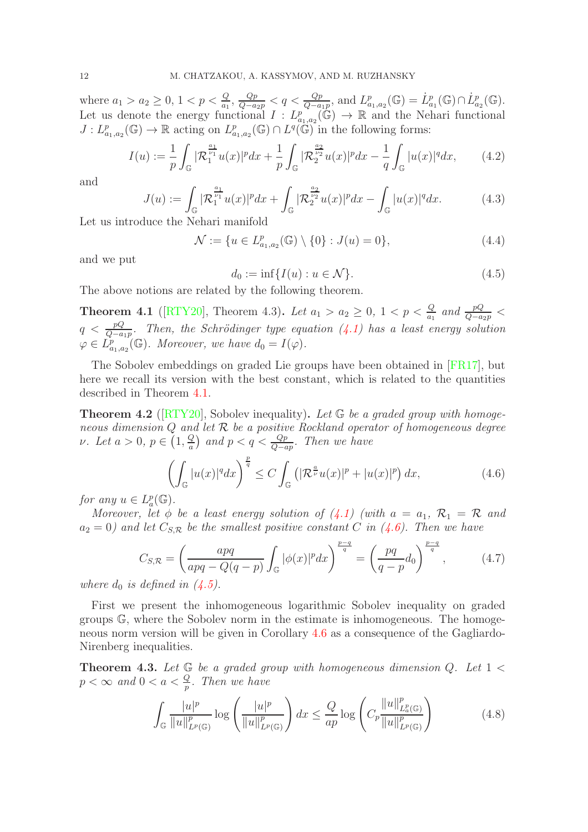where  $a_1 > a_2 \ge 0$ ,  $1 < p < \frac{Q}{a_1}$ ,  $\frac{Qp}{Q-a_2p} < q < \frac{Qp}{Q-a_1p}$ , and  $L^p_{a_1,a_2}(\mathbb{G}) = L^p_{a_1}(\mathbb{G}) \cap L^p_{a_2}(\mathbb{G})$ . Let us denote the energy functional  $I: L^{p}_{a_1,a_2}(\mathbb{G}) \to \mathbb{R}$  and the Nehari functional  $J: L^p_{a_1,a_2}(\mathbb{G}) \to \mathbb{R}$  acting on  $L^p_{a_1,a_2}(\mathbb{G}) \cap L^q(\mathbb{G})$  in the following forms:

$$
I(u) := \frac{1}{p} \int_{\mathbb{G}} |\mathcal{R}_1^{\frac{a_1}{\nu_1}} u(x)|^p dx + \frac{1}{p} \int_{\mathbb{G}} |\mathcal{R}_2^{\frac{a_2}{\nu_2}} u(x)|^p dx - \frac{1}{q} \int_{\mathbb{G}} |u(x)|^q dx, \qquad (4.2)
$$

and

$$
J(u) := \int_{\mathbb{G}} |\mathcal{R}_1^{\frac{a_1}{\nu_1}} u(x)|^p dx + \int_{\mathbb{G}} |\mathcal{R}_2^{\frac{a_2}{\nu_2}} u(x)|^p dx - \int_{\mathbb{G}} |u(x)|^q dx.
$$
 (4.3)

Let us introduce the Nehari manifold

$$
\mathcal{N} := \{ u \in L^p_{a_1, a_2}(\mathbb{G}) \setminus \{0\} : J(u) = 0 \},\tag{4.4}
$$

and we put

<span id="page-11-2"></span>
$$
d_0 := \inf\{I(u) : u \in \mathcal{N}\}.
$$
\n
$$
(4.5)
$$

The above notions are related by the following theorem.

<span id="page-11-0"></span>**Theorem 4.1** ([\[RTY20\]](#page-33-3), Theorem 4.3). Let  $a_1 > a_2 \geq 0$ ,  $1 < p < \frac{Q}{a_1}$  and  $\frac{pQ}{Q-a_2p}$  $q < \frac{pQ}{Q-a_1p}$ . Then, the Schrödinger type equation [\(4.1\)](#page-10-3) has a least energy solution  $\varphi \in L^p_{a_1,a_2}(\mathbb{G})$ . Moreover, we have  $d_0 = I(\varphi)$ .

The Sobolev embeddings on graded Lie groups have been obtained in [\[FR17\]](#page-32-2), but here we recall its version with the best constant, which is related to the quantities described in Theorem [4.1.](#page-11-0)

**Theorem 4.2** ( $[RTY20]$ , Sobolev inequality). Let  $\mathbb{G}$  be a graded group with homogeneous dimension  $Q$  and let  $R$  be a positive Rockland operator of homogeneous degree ν. Let  $a > 0, p \in (1, \frac{Q}{a})$  $\frac{Q}{a}$ ) and  $p < q < \frac{Qp}{Q-ap}$ . Then we have

<span id="page-11-1"></span>
$$
\left(\int_{\mathbb{G}}|u(x)|^qdx\right)^{\frac{p}{q}} \le C\int_{\mathbb{G}}\left(|\mathcal{R}^{\frac{a}{\nu}}u(x)|^p+|u(x)|^p\right)dx,\tag{4.6}
$$

for any  $u \in L^p_a(\mathbb{G})$ .

Moreover, let  $\phi$  be a least energy solution of  $(4.1)$  (with  $a = a_1, \mathcal{R}_1 = \mathcal{R}$  and  $a_2 = 0$ ) and let  $C_{S,R}$  be the smallest positive constant C in [\(4.6\)](#page-11-1). Then we have

<span id="page-11-3"></span>
$$
C_{S,\mathcal{R}} = \left(\frac{apq}{apq - Q(q - p)} \int_{\mathbb{G}} |\phi(x)|^p dx\right)^{\frac{p - q}{q}} = \left(\frac{pq}{q - p}d_0\right)^{\frac{p - q}{q}},\tag{4.7}
$$

where  $d_0$  is defined in  $(4.5)$ .

First we present the inhomogeneous logarithmic Sobolev inequality on graded groups G, where the Sobolev norm in the estimate is inhomogeneous. The homogeneous norm version will be given in Corollary [4.6](#page-13-1) as a consequence of the Gagliardo-Nirenberg inequalities.

**Theorem 4.3.** Let  $\mathbb{G}$  be a graded group with homogeneous dimension Q. Let  $1 <$  $p < \infty$  and  $0 < a < \frac{Q}{p}$ . Then we have

<span id="page-11-4"></span>
$$
\int_{\mathbb{G}} \frac{|u|^p}{\|u\|_{L^p(\mathbb{G})}^p} \log \left(\frac{|u|^p}{\|u\|_{L^p(\mathbb{G})}^p}\right) dx \le \frac{Q}{ap} \log \left(C_p \frac{\|u\|_{L^p(\mathbb{G})}^p}{\|u\|_{L^p(\mathbb{G})}^p}\right) \tag{4.8}
$$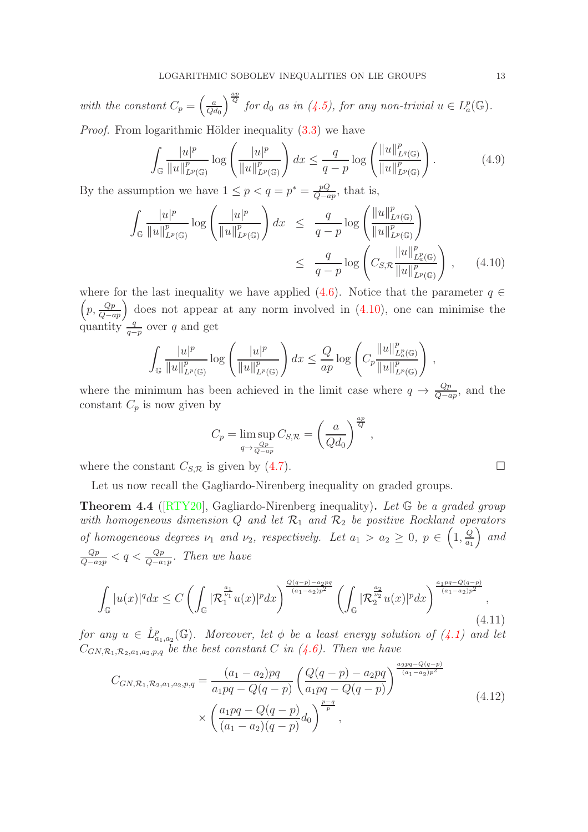with the constant  $C_p = \left(\frac{a}{Q_0}\right)^2$  $Qd_0$  $\int_{a}^{\frac{ap}{Q}}$  for  $d_0$  as in [\(4.5\)](#page-11-2), for any non-trivial  $u \in L^p_a(\mathbb{G})$ . *Proof.* From logarithmic Hölder inequality  $(3.3)$  we have

$$
\int_{\mathbb{G}} \frac{|u|^p}{\|u\|_{L^p(\mathbb{G})}^p} \log \left(\frac{|u|^p}{\|u\|_{L^p(\mathbb{G})}^p}\right) dx \le \frac{q}{q-p} \log \left(\frac{\|u\|_{L^q(\mathbb{G})}^p}{\|u\|_{L^p(\mathbb{G})}^p}\right). \tag{4.9}
$$

By the assumption we have  $1 \leq p < q = p^* = \frac{pQ}{Q-c}$  $\frac{pQ}{Q-ap}$ , that is,

<span id="page-12-0"></span>
$$
\int_{\mathbb{G}} \frac{|u|^p}{\|u\|_{L^p(\mathbb{G})}^p} \log \left(\frac{|u|^p}{\|u\|_{L^p(\mathbb{G})}^p}\right) dx \leq \frac{q}{q-p} \log \left(\frac{\|u\|_{L^q(\mathbb{G})}^p}{\|u\|_{L^p(\mathbb{G})}^p}\right)
$$
\n
$$
\leq \frac{q}{q-p} \log \left(C_{S,\mathcal{R}} \frac{\|u\|_{L^p(\mathbb{G})}^p}{\|u\|_{L^p(\mathbb{G})}^p}\right), \qquad (4.10)
$$

where for the last inequality we have applied [\(4.6\)](#page-11-1). Notice that the parameter  $q \in$  $\left(p, \frac{Qp}{Q-ap}\right)$  does not appear at any norm involved in [\(4.10\)](#page-12-0), one can minimise the quantity  $\frac{q}{q-p}$  over q and get

$$
\int_{\mathbb{G}}\frac{|u|^p}{\|u\|_{L^p(\mathbb{G})}^p}\log\left(\frac{|u|^p}{\|u\|_{L^p(\mathbb{G})}^p}\right)dx \leq \frac{Q}{ap}\log\left(C_p\frac{\|u\|_{L^p_a(\mathbb{G})}^p}{\|u\|_{L^p(\mathbb{G})}^p}\right),
$$

where the minimum has been achieved in the limit case where  $q \to \frac{Qp}{Q-ap}$ , and the constant  $C_p$  is now given by

$$
C_p = \limsup_{q \to \frac{Qp}{Q - ap}} C_{S, \mathcal{R}} = \left(\frac{a}{Qd_0}\right)^{\frac{ap}{Q}}
$$

,

where the constant  $C_{S,\mathcal{R}}$  is given by [\(4.7\)](#page-11-3).

Let us now recall the Gagliardo-Nirenberg inequality on graded groups.

<span id="page-12-3"></span>**Theorem 4.4** ( $[RTY20]$ , Gagliardo-Nirenberg inequality). Let  $\mathbb{G}$  be a graded group with homogeneous dimension  $Q$  and let  $\mathcal{R}_1$  and  $\mathcal{R}_2$  be positive Rockland operators of homogeneous degrees  $\nu_1$  and  $\nu_2$ , respectively. Let  $a_1 > a_2 \geq 0$ ,  $p \in \left(1, \frac{Q}{a_1}\right)$  $a_1$  $\big)$  and  $\frac{Qp}{Q-a_2p} < q < \frac{Qp}{Q-a_1p}$ . Then we have

<span id="page-12-1"></span>
$$
\int_{\mathbb{G}} |u(x)|^q dx \le C \left( \int_{\mathbb{G}} |\mathcal{R}_1^{\frac{a_1}{\nu_1}} u(x)|^p dx \right)^{\frac{Q(q-p)-a_2pq}{(a_1-a_2)p^2}} \left( \int_{\mathbb{G}} |\mathcal{R}_2^{\frac{a_2}{\nu_2}} u(x)|^p dx \right)^{\frac{a_1pq-Q(q-p)}{(a_1-a_2)p^2}}, \tag{4.11}
$$

for any  $u \in \dot{L}^p_{a_1,a_2}(\mathbb{G})$ . Moreover, let  $\phi$  be a least energy solution of  $(4.1)$  and let  $C_{GN,\mathcal{R}_1,\mathcal{R}_2,a_1,a_2,p,q}$  be the best constant C in [\(4.6\)](#page-11-1). Then we have

<span id="page-12-2"></span>
$$
C_{GN,\mathcal{R}_1,\mathcal{R}_2,a_1,a_2,p,q} = \frac{(a_1 - a_2)pq}{a_1pq - Q(q - p)} \left( \frac{Q(q - p) - a_2pq}{a_1pq - Q(q - p)} \right)^{\frac{a_2pq - Q(q - p)}{(a_1 - a_2)p^2}} \times \left( \frac{a_1pq - Q(q - p)}{(a_1 - a_2)(q - p)} d_0 \right)^{\frac{p - q}{p}},
$$
\n(4.12)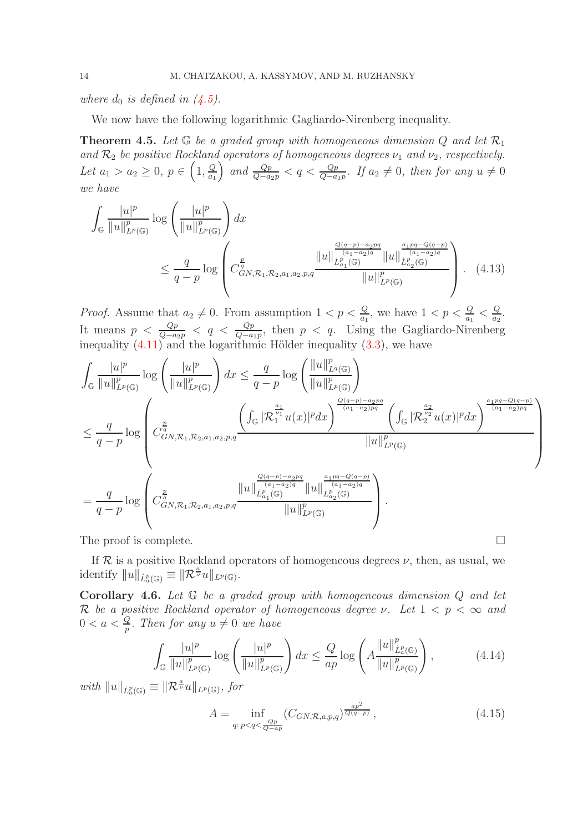where  $d_0$  is defined in  $(4.5)$ .

We now have the following logarithmic Gagliardo-Nirenberg inequality.

<span id="page-13-2"></span>**Theorem 4.5.** Let  $\mathbb{G}$  be a graded group with homogeneous dimension Q and let  $\mathcal{R}_1$ and  $\mathcal{R}_2$  be positive Rockland operators of homogeneous degrees  $\nu_1$  and  $\nu_2$ , respectively. Let  $a_1 > a_2 \geq 0, p \in (1, \frac{Q}{a_1})$  $a_1$ and  $\frac{Qp}{Q-a_2p}$  < q <  $\frac{Qp}{Q-a_1p}$ . If  $a_2 \neq 0$ , then for any  $u \neq 0$ we have

$$
\int_{\mathbb{G}} \frac{|u|^p}{\|u\|_{L^p(\mathbb{G})}^p} \log \left(\frac{|u|^p}{\|u\|_{L^p(\mathbb{G})}^p}\right) dx
$$
\n
$$
\leq \frac{q}{q-p} \log \left(\frac{\sum\limits_{\substack{\ell\\c \leq N,\\c \leq N,\\c \leq N,\\c \leq N,\\c \leq N,\\c \leq N,\\c \leq N,\\c \leq N}} \frac{\|u\|_{L^p(\mathbb{G})}^{\frac{Q(q-p)-a_2pq}{(a_1-a_2)q}} \|u\|_{L^p(\mathbb{G})}^{\frac{a_1pq-Q(q-p)}{(a_1-a_2)q}}}{\|u\|_{L^p(\mathbb{G})}^p}\right). \tag{4.13}
$$

*Proof.* Assume that  $a_2 \neq 0$ . From assumption  $1 < p < \frac{Q}{a_1}$ , we have  $1 < p < \frac{Q}{a_1} < \frac{Q}{a_2}$  $\frac{Q}{a_2}$ . It means  $p < \frac{Qp}{Q-a_2p} < q < \frac{Qp}{Q-a_1p}$ , then  $p < q$ . Using the Gagliardo-Nirenberg inequality  $(4.11)$  and the logarithmic Hölder inequality  $(3.3)$ , we have

$$
\int_{\mathbb{G}} \frac{|u|^p}{\|u\|_{L^p(\mathbb{G})}^p} \log \left( \frac{|u|^p}{\|u\|_{L^p(\mathbb{G})}^p} \right) dx \leq \frac{q}{q-p} \log \left( \frac{\|u\|_{L^q(\mathbb{G})}^p}{\|u\|_{L^p(\mathbb{G})}^p} \right)
$$
\n
$$
\leq \frac{q}{q-p} \log \left( C_{GN,\mathcal{R}_1,\mathcal{R}_2,a_1,a_2,p,q}^{\frac{p}{q}} \frac{\left( \int_{\mathbb{G}} |\mathcal{R}_1^{\frac{a_1}{p_1}} u(x)|^p dx \right)^{\frac{Q(q-p)-a_2pq}{(a_1-a_2)pq}} \left( \int_{\mathbb{G}} |\mathcal{R}_2^{\frac{a_2}{p_2}} u(x)|^p dx \right)^{\frac{a_1pq-Q(q-p)}{(a_1-a_2)pq}}}{\|u\|_{L^p(\mathbb{G})}^p} \right)
$$
\n
$$
= \frac{q}{q-p} \log \left( C_{GN,\mathcal{R}_1,\mathcal{R}_2,a_1,a_2,p,q}^{\frac{p}{q}} \frac{\|u\|_{L^p_{a_1}(\mathbb{G})}^{\frac{Q(q-p)-a_2pq}{(a_1-a_2)q}} \|u\|_{L^p_{a_2}(\mathbb{G})}^{\frac{a_1pq-Q(q-p)}{(a_1-a_2)q}}}{\|u\|_{L^p(\mathbb{G})}^{\frac{a_1pq-Q(q-p)}{(a_1-a_2)q}}} \right).
$$

The proof is complete.

If  $R$  is a positive Rockland operators of homogeneous degrees  $\nu$ , then, as usual, we identify  $||u||_{\dot{L}_a^p(\mathbb{G})} \equiv ||\mathcal{R}^{\frac{a}{\nu}}u||_{L^p(\mathbb{G})}$ .

<span id="page-13-1"></span>**Corollary 4.6.** Let  $G$  be a graded group with homogeneous dimension  $Q$  and let R be a positive Rockland operator of homogeneous degree  $\nu$ . Let  $1 < p < \infty$  and  $0 < a < \frac{Q}{p}$ . Then for any  $u \neq 0$  we have

<span id="page-13-3"></span>
$$
\int_{\mathbb{G}} \frac{|u|^p}{\|u\|_{L^p(\mathbb{G})}^p} \log \left(\frac{|u|^p}{\|u\|_{L^p(\mathbb{G})}^p}\right) dx \le \frac{Q}{ap} \log \left(A \frac{\|u\|_{L^p(\mathbb{G})}^p}{\|u\|_{L^p(\mathbb{G})}^p}\right),\tag{4.14}
$$

with  $||u||_{\dot{L}^p(\mathbb{G})} \equiv ||\mathcal{R}^{\frac{a}{\nu}}u||_{L^p(\mathbb{G})},$  for

<span id="page-13-0"></span>
$$
A = \inf_{q:p < q < \frac{Qp}{Q-ap}} (C_{GN,\mathcal{R},a,p,q})^{\frac{ap^2}{Q(q-p)}},
$$
\n(4.15)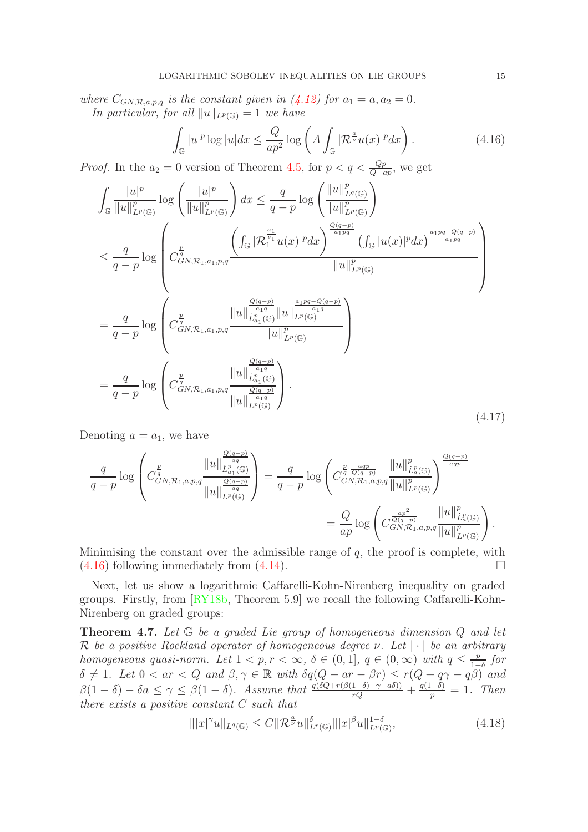where  $C_{GN,\mathcal{R},a,p,q}$  is the constant given in  $(4.12)$  for  $a_1 = a, a_2 = 0$ . In particular, for all  $||u||_{L^p(\mathbb{G})} = 1$  we have

<span id="page-14-0"></span>
$$
\int_{\mathbb{G}} |u|^p \log |u| dx \le \frac{Q}{ap^2} \log \left( A \int_{\mathbb{G}} |\mathcal{R}^{\frac{a}{\nu}} u(x)|^p dx \right). \tag{4.16}
$$

*Proof.* In the  $a_2 = 0$  version of Theorem [4.5,](#page-13-2) for  $p < q < \frac{Qp}{Q-ap}$ , we get

$$
\int_{\mathbb{G}} \frac{|u|^p}{\|u\|_{L^p(\mathbb{G})}^p} \log \left( \frac{|u|^p}{\|u\|_{L^p(\mathbb{G})}^p} \right) dx \leq \frac{q}{q-p} \log \left( \frac{\|u\|_{L^p(\mathbb{G})}^p}{\|u\|_{L^p(\mathbb{G})}^p} \right)
$$
\n
$$
\leq \frac{q}{q-p} \log \left( C_{GN,\mathcal{R}_1,a_1,p,q}^{\frac{p}{q}} \frac{\left( \int_{\mathbb{G}} |\mathcal{R}_1^{\frac{a_1}{p_1}} u(x)|^p dx \right)^{\frac{Q(q-p)}{a_1pq}} \left( \int_{\mathbb{G}} |u(x)|^p dx \right)^{\frac{a_1pq - Q(q-p)}{a_1pq}}}{\|u\|_{L^p(\mathbb{G})}^p} \right)
$$
\n
$$
= \frac{q}{q-p} \log \left( C_{GN,\mathcal{R}_1,a_1,p,q}^{\frac{p}{q}} \frac{\|u\|_{L^p_{a_1}(\mathbb{G})}^{\frac{a_1p}{a_1q}} \|u\|_{L^p(\mathbb{G})}^{\frac{a_1pq - Q(q-p)}{a_1q}}}{\|u\|_{L^p(\mathbb{G})}^p} \right)
$$
\n
$$
= \frac{q}{q-p} \log \left( C_{GN,\mathcal{R}_1,a_1,p,q}^{\frac{p}{q}} \frac{\|u\|_{L^p(\mathbb{G})}^{\frac{Q(q-p)}{a_1q}}}{\|u\|_{L^p(\mathbb{G})}^{\frac{a_1q}{a_1q}}} \right). \tag{4.17}
$$

Denoting  $a = a_1$ , we have

$$
\frac{q}{q-p}\log\left(C_{GN,\mathcal{R}_{1},a,p,q}^{\frac{p}{q}}\frac{\|u\|_{\dot{L}_{a_{1}}^{p}(\mathbb{G})}^{\frac{Q(q-p)}{aq}}}{\|u\|_{L^{p}(\mathbb{G})}^{\frac{Q(q-p)}{aq}}}\right)=\frac{q}{q-p}\log\left(C_{GN,\mathcal{R}_{1},a,p,q}^{\frac{p}{q}\frac{aqp}{Q(q-p)}}\frac{\|u\|_{\dot{L}_{a}^{p}(\mathbb{G})}^{p}}{\|u\|_{L^{p}(\mathbb{G})}^{p}}\right)^{\frac{Q(q-p)}{aqp}}}{=\frac{Q}{ap}\log\left(C_{GN,\mathcal{R}_{1},a,p,q}^{\frac{ap^{2}}{q}\frac{q}{\|u\|_{L^{p}(\mathbb{G})}^{p}}}{\|u\|_{L^{p}(\mathbb{G})}^{p}}\right).
$$

Minimising the constant over the admissible range of  $q$ , the proof is complete, with  $(4.16)$  following immediately from  $(4.14)$ .

Next, let us show a logarithmic Caffarelli-Kohn-Nirenberg inequality on graded groups. Firstly, from [\[RY18b,](#page-33-10) Theorem 5.9] we recall the following Caffarelli-Kohn-Nirenberg on graded groups:

**Theorem 4.7.** Let  $G$  be a graded Lie group of homogeneous dimension  $Q$  and let R be a positive Rockland operator of homogeneous degree  $\nu$ . Let  $|\cdot|$  be an arbitrary homogeneous quasi-norm. Let  $1 < p, r < \infty$ ,  $\delta \in (0, 1], q \in (0, \infty)$  with  $q \leq \frac{p}{1-p}$  $\frac{p}{1-\delta}$  for  $\delta \neq 1$ . Let  $0 < ar < Q$  and  $\beta, \gamma \in \mathbb{R}$  with  $\delta q(Q - ar - \beta r) \leq r(Q + q\gamma - q\beta)$  and  $\beta(1-\delta) - \delta a \leq \gamma \leq \beta(1-\delta)$ . Assume that  $\frac{q(\delta Q + r(\beta(1-\delta) - \gamma - a\delta))}{rQ} + \frac{q(1-\delta)}{p}$  $\frac{(-0)}{p} = 1$ . Then there exists a positive constant C such that

<span id="page-14-1"></span>
$$
\| |x|^{\gamma} u \|_{L^{q}(\mathbb{G})} \leq C \| \mathcal{R}^{\frac{a}{\nu}} u \|_{L^{r}(\mathbb{G})}^{\delta} \| |x|^{\beta} u \|_{L^{p}(\mathbb{G})}^{1-\delta}, \tag{4.18}
$$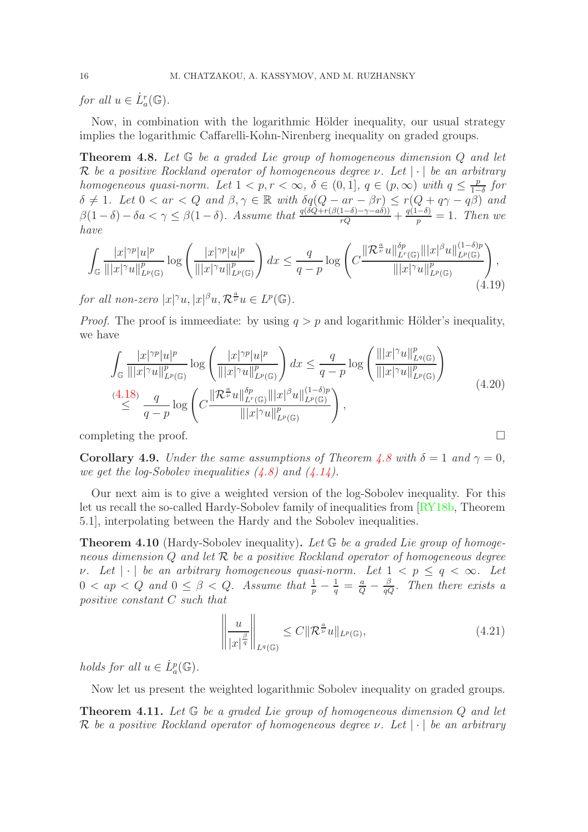for all  $u \in \dot{L}_a^r(\mathbb{G})$ .

Now, in combination with the logarithmic Hölder inequality, our usual strategy implies the logarithmic Caffarelli-Kohn-Nirenberg inequality on graded groups.

<span id="page-15-1"></span>Theorem 4.8. Let  $G$  be a graded Lie group of homogeneous dimension Q and let R be a positive Rockland operator of homogeneous degree  $\nu$ . Let  $|\cdot|$  be an arbitrary homogeneous quasi-norm. Let  $1 < p, r < \infty$ ,  $\delta \in (0, 1], q \in (p, \infty)$  with  $q \leq \frac{p}{1-p}$  $\frac{p}{1-\delta}$  for  $\delta \neq 1$ . Let  $0 < ar < Q$  and  $\beta, \gamma \in \mathbb{R}$  with  $\delta q(Q - ar - \beta r) \leq r(Q + q\gamma - q\overline{\beta})$  and  $\beta(1-\delta) - \delta a < \gamma \leq \beta(1-\delta)$ . Assume that  $\frac{q(\delta Q + r(\beta(1-\delta) - \gamma - a\delta))}{rQ} + \frac{q(1-\delta)}{p}$  $\frac{(-0)}{p} = 1$ . Then we have

$$
\int_{\mathbb{G}} \frac{|x|^{\gamma p} |u|^p}{\||x|^{\gamma} u\|_{L^p(\mathbb{G})}^p} \log \left( \frac{|x|^{\gamma p} |u|^p}{\||x|^{\gamma} u\|_{L^p(\mathbb{G})}^p} \right) dx \leq \frac{q}{q-p} \log \left( C \frac{\|\mathcal{R}^{\frac{\alpha}{\nu}} u\|_{L^p(\mathbb{G})}^{\delta p} \||x|^{\beta} u\|_{L^p(\mathbb{G})}^{(1-\delta)p}}{\||x|^{\gamma} u\|_{L^p(\mathbb{G})}^p} \right), \tag{4.19}
$$

for all non-zero  $|x|^{\gamma}u, |x|^{\beta}u, \mathcal{R}^{\frac{a}{\nu}}u \in L^p(\mathbb{G})$ .

*Proof.* The proof is immeediate: by using  $q > p$  and logarithmic Hölder's inequality, we have

$$
\int_{\mathbb{G}} \frac{|x|^{\gamma p} |u|^p}{\| |x|^{\gamma} u\|_{L^p(\mathbb{G})}^p} \log \left( \frac{|x|^{\gamma p} |u|^p}{\| |x|^{\gamma} u\|_{L^p(\mathbb{G})}^p} \right) dx \leq \frac{q}{q-p} \log \left( \frac{\| |x|^{\gamma} u\|_{L^q(\mathbb{G})}^p}{\| |x|^{\gamma} u\|_{L^p(\mathbb{G})}^p} \right)
$$
\n
$$
\stackrel{(4.18)}{\leq} \frac{q}{q-p} \log \left( C \frac{\| \mathcal{R}^{\frac{\alpha}{\nu}} u\|_{L^r(\mathbb{G})}^{\delta p}}{\| |x|^{\gamma} u\|_{L^p(\mathbb{G})}^p} \right),
$$
\n
$$
(4.20)
$$

completing the proof.

**Corollary 4.9.** Under the same assumptions of Theorem [4.8](#page-15-1) with  $\delta = 1$  and  $\gamma = 0$ , we get the log-Sobolev inequalities  $(4.8)$  and  $(4.14)$ .

Our next aim is to give a weighted version of the log-Sobolev inequality. For this let us recall the so-called Hardy-Sobolev family of inequalities from [\[RY18b,](#page-33-10) Theorem 5.1], interpolating between the Hardy and the Sobolev inequalities.

<span id="page-15-2"></span>**Theorem 4.10** (Hardy-Sobolev inequality). Let  $\mathbb{G}$  be a graded Lie group of homogeneous dimension Q and let  $R$  be a positive Rockland operator of homogeneous degree v. Let  $|\cdot|$  be an arbitrary homogeneous quasi-norm. Let  $1 < p \le q < \infty$ . Let  $0 < ap < Q$  and  $0 \leq \beta < Q$ . Assume that  $\frac{1}{p} - \frac{1}{q} = \frac{a}{Q} - \frac{\beta}{qQ}$ . Then there exists a positive constant C such that

<span id="page-15-3"></span>
$$
\left\| \frac{u}{|x|^{\frac{\beta}{q}}} \right\|_{L^{q}(\mathbb{G})} \leq C \|\mathcal{R}^{\frac{a}{\nu}}u\|_{L^{p}(\mathbb{G})},\tag{4.21}
$$

holds for all  $u \in \dot{L}_a^p(\mathbb{G})$ .

Now let us present the weighted logarithmic Sobolev inequality on graded groups.

<span id="page-15-0"></span>**Theorem 4.11.** Let  $G$  be a graded Lie group of homogeneous dimension  $Q$  and let R be a positive Rockland operator of homogeneous degree  $\nu$ . Let  $|\cdot|$  be an arbitrary

$$
\Box
$$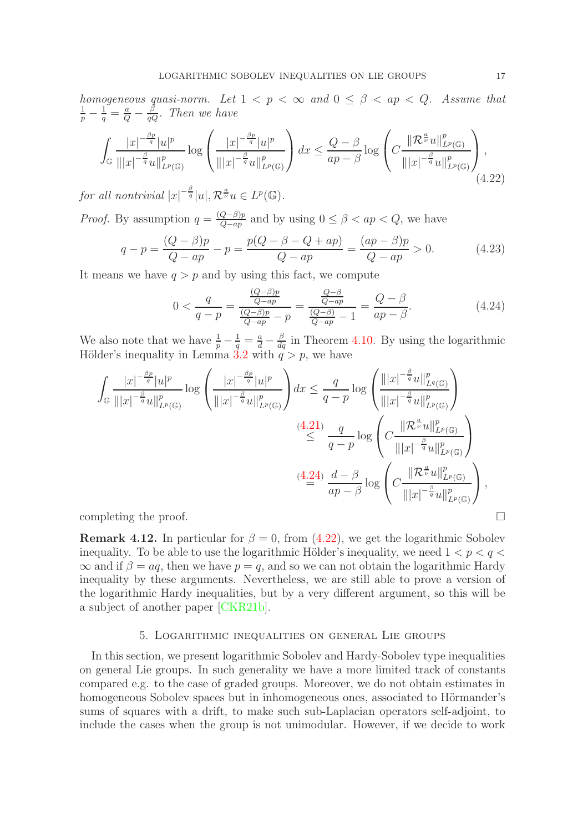homogeneous quasi-norm. Let  $1 < p < \infty$  and  $0 \leq \beta < ap < Q$ . Assume that  $\frac{1}{p} - \frac{1}{q} = \frac{a}{Q} - \frac{\beta}{qQ}$ . Then we have

<span id="page-16-2"></span>
$$
\int_{\mathbb{G}}\frac{|x|^{-\frac{\beta p}{q}}|u|^p}{\||x|^{-\frac{\beta}{q}}u\|_{L^p(\mathbb{G})}^p}\log\left(\frac{|x|^{-\frac{\beta p}{q}}|u|^p}{\||x|^{-\frac{\beta}{q}}u\|_{L^p(\mathbb{G})}^p}\right)dx \le \frac{Q-\beta}{ap-\beta}\log\left(C\frac{\|\mathcal{R}^{\frac{a}{\nu}}u\|_{L^p(\mathbb{G})}^p}{\||x|^{-\frac{\beta}{q}}u\|_{L^p(\mathbb{G})}^p}\right),\tag{4.22}
$$

for all nontrivial  $|x|^{-\frac{\beta}{q}}|u|, \mathcal{R}^{\frac{a}{\nu}}u \in L^p(\mathbb{G}).$ 

*Proof.* By assumption  $q = \frac{(Q-\beta)p}{Q-\alpha p}$  $\frac{Q-\beta)p}{Q-ap}$  and by using  $0 \leq \beta < ap < Q$ , we have

$$
q - p = \frac{(Q - \beta)p}{Q - ap} - p = \frac{p(Q - \beta - Q + ap)}{Q - ap} = \frac{(ap - \beta)p}{Q - ap} > 0.
$$
 (4.23)

It means we have  $q > p$  and by using this fact, we compute

<span id="page-16-1"></span>
$$
0 < \frac{q}{q - p} = \frac{\frac{(Q - \beta)p}{Q - ap}}{\frac{(Q - \beta)p}{Q - ap} - p} = \frac{\frac{Q - \beta}{Q - ap}}{\frac{(Q - \beta)}{Q - ap} - 1} = \frac{Q - \beta}{ap - \beta}.
$$
\n(4.24)

We also note that we have  $\frac{1}{p} - \frac{1}{q} = \frac{a}{d} - \frac{\beta}{dq}$  in Theorem [4.10.](#page-15-2) By using the logarithmic Hölder's inequality in Lemma [3.2](#page-9-5) with  $q > p$ , we have

$$
\int_{\mathbb{G}} \frac{|x|^{-\frac{\beta p}{q}}|u|^p}{\||x|^{-\frac{\beta}{q}}u\|_{L^p(\mathbb{G})}^p} \log \left(\frac{|x|^{-\frac{\beta p}{q}}|u|^p}{\||x|^{-\frac{\beta}{q}}u\|_{L^p(\mathbb{G})}^p}\right) dx \leq \frac{q}{q-p} \log \left(\frac{\||x|^{-\frac{\beta}{q}}u\|_{L^p(\mathbb{G})}^p}{\||x|^{-\frac{\beta}{q}}u\|_{L^p(\mathbb{G})}^p}\right)
$$
\n
$$
\leq \frac{(4.21)}{q-p} \log \left(C\frac{\|\mathcal{R}^{\frac{\alpha}{\nu}}u\|_{L^p(\mathbb{G})}^p}{\||x|^{-\frac{\beta}{q}}u\|_{L^p(\mathbb{G})}^p}\right)
$$
\n
$$
\leq \frac{(4.24)}{ap-\beta} \log \left(C\frac{\|\mathcal{R}^{\frac{\alpha}{\nu}}u\|_{L^p(\mathbb{G})}^p}{\||x|^{-\frac{\beta}{q}}u\|_{L^p(\mathbb{G})}^p}\right),
$$
\ncompleting the proof.

**Remark 4.12.** In particular for  $\beta = 0$ , from [\(4.22\)](#page-16-2), we get the logarithmic Sobolev inequality. To be able to use the logarithmic Hölder's inequality, we need  $1 < p < q <$  $\infty$  and if  $\beta = aq$ , then we have  $p = q$ , and so we can not obtain the logarithmic Hardy inequality by these arguments. Nevertheless, we are still able to prove a version of the logarithmic Hardy inequalities, but by a very different argument, so this will be a subject of another paper [\[CKR21b\]](#page-32-19).

#### 5. Logarithmic inequalities on general Lie groups

<span id="page-16-0"></span>In this section, we present logarithmic Sobolev and Hardy-Sobolev type inequalities on general Lie groups. In such generality we have a more limited track of constants compared e.g. to the case of graded groups. Moreover, we do not obtain estimates in homogeneous Sobolev spaces but in inhomogeneous ones, associated to Hörmander's sums of squares with a drift, to make such sub-Laplacian operators self-adjoint, to include the cases when the group is not unimodular. However, if we decide to work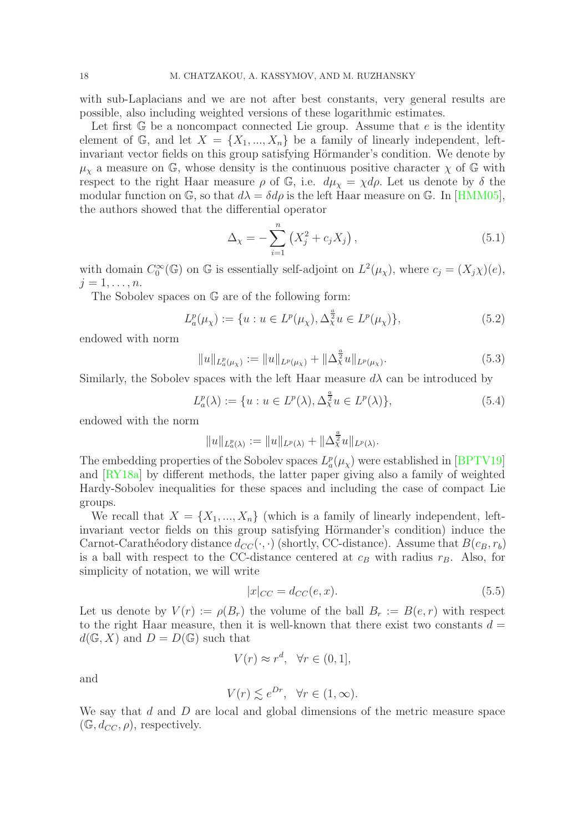with sub-Laplacians and we are not after best constants, very general results are possible, also including weighted versions of these logarithmic estimates.

Let first  $\mathbb{G}$  be a noncompact connected Lie group. Assume that e is the identity element of G, and let  $X = \{X_1, ..., X_n\}$  be a family of linearly independent, leftinvariant vector fields on this group satisfying Hörmander's condition. We denote by  $\mu_{\gamma}$  a measure on G, whose density is the continuous positive character  $\chi$  of G with respect to the right Haar measure  $\rho$  of  $\mathbb{G}$ , i.e.  $d\mu_{\chi} = \chi d\rho$ . Let us denote by  $\delta$  the modular function on  $\mathbb{G}$ , so that  $d\lambda = \delta d\rho$  is the left Haar measure on  $\mathbb{G}$ . In [\[HMM05\]](#page-32-23), the authors showed that the differential operator

$$
\Delta_{\chi} = -\sum_{i=1}^{n} \left( X_j^2 + c_j X_j \right),\tag{5.1}
$$

with domain  $C_0^{\infty}(\mathbb{G})$  on  $\mathbb{G}$  is essentially self-adjoint on  $L^2(\mu_{\chi})$ , where  $c_j = (X_j \chi)(e)$ ,  $j=1,\ldots,n$ .

The Sobolev spaces on G are of the following form:

$$
L_a^p(\mu_\chi) := \{ u : u \in L^p(\mu_\chi), \Delta_\chi^{\frac{a}{2}} u \in L^p(\mu_\chi) \},\tag{5.2}
$$

endowed with norm

$$
||u||_{L_a^p(\mu_\chi)} := ||u||_{L^p(\mu_\chi)} + ||\Delta_\chi^{\frac{a}{2}} u||_{L^p(\mu_\chi)}.
$$
\n(5.3)

Similarly, the Sobolev spaces with the left Haar measure  $d\lambda$  can be introduced by

$$
L_a^p(\lambda) := \{ u : u \in L^p(\lambda), \Delta_\lambda^{\frac{a}{2}} u \in L^p(\lambda) \},\tag{5.4}
$$

endowed with the norm

$$
||u||_{L^p_a(\lambda)} := ||u||_{L^p(\lambda)} + ||\Delta^{\frac{a}{2}}\lambda u||_{L^p(\lambda)}.
$$

The embedding properties of the Sobolev spaces  $L_a^p(\mu_\chi)$  were established in [\[BPTV19\]](#page-31-3) and [\[RY18a\]](#page-33-11) by different methods, the latter paper giving also a family of weighted Hardy-Sobolev inequalities for these spaces and including the case of compact Lie groups.

We recall that  $X = \{X_1, ..., X_n\}$  (which is a family of linearly independent, leftinvariant vector fields on this group satisfying Hörmander's condition) induce the Carnot-Carathéodory distance  $d_{CC}(\cdot, \cdot)$  (shortly, CC-distance). Assume that  $B(c_B, r_b)$ is a ball with respect to the CC-distance centered at  $c_B$  with radius  $r_B$ . Also, for simplicity of notation, we will write

<span id="page-17-0"></span>
$$
|x|_{CC} = d_{CC}(e, x). \tag{5.5}
$$

Let us denote by  $V(r) := \rho(B_r)$  the volume of the ball  $B_r := B(e, r)$  with respect to the right Haar measure, then it is well-known that there exist two constants  $d =$  $d(\mathbb{G}, X)$  and  $D = D(\mathbb{G})$  such that

$$
V(r) \approx r^d, \quad \forall r \in (0, 1],
$$

and

$$
V(r) \lesssim e^{Dr}, \quad \forall r \in (1, \infty).
$$

We say that  $d$  and  $D$  are local and global dimensions of the metric measure space  $(\mathbb{G}, d_{CC}, \rho)$ , respectively.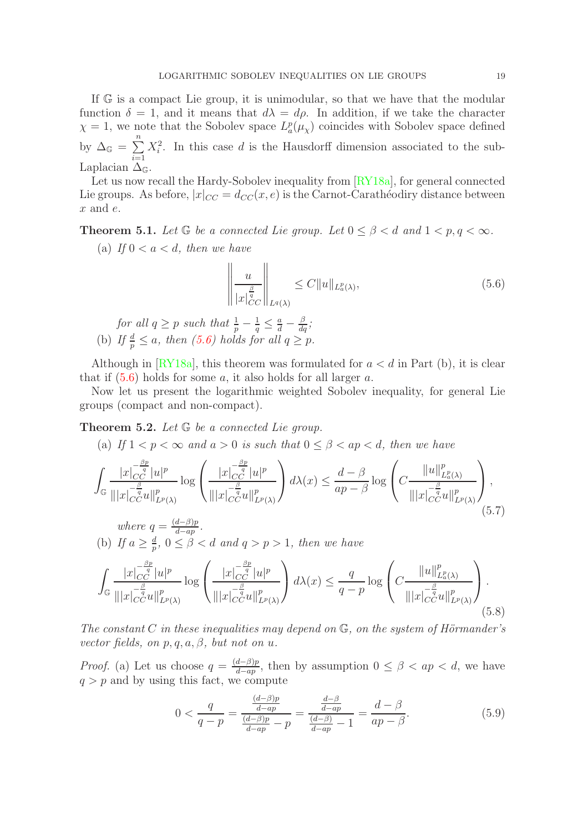If G is a compact Lie group, it is unimodular, so that we have that the modular function  $\delta = 1$ , and it means that  $d\lambda = d\rho$ . In addition, if we take the character  $\chi = 1$ , we note that the Sobolev space  $L_a^p(\mu_\chi)$  coincides with Sobolev space defined by  $\Delta_{\mathbb{G}} = \sum^{n}$  $i=1$  $X_i^2$ . In this case d is the Hausdorff dimension associated to the sub-Laplacian  $\Delta_{\mathbb{G}}$ .

Let us now recall the Hardy-Sobolev inequality from  $\left[\frac{RV18a\right]$ , for general connected Lie groups. As before,  $|x|_{CC} = d_{CC}(x, e)$  is the Carnot-Carathéodiry distance between x and e.

<span id="page-18-2"></span>**Theorem 5.1.** Let  $\mathbb{G}$  be a connected Lie group. Let  $0 \leq \beta < d$  and  $1 < p, q < \infty$ .

(a) If  $0 < a < d$ , then we have

<span id="page-18-1"></span>
$$
\left\| \frac{u}{|x|_{CC}^{\frac{\beta}{q}}|} \right\|_{L^q(\lambda)} \le C \|u\|_{L^p_a(\lambda)}, \tag{5.6}
$$

for all  $q \ge p$  such that  $\frac{1}{p} - \frac{1}{q} \le \frac{a}{d} - \frac{\beta}{dq}$ ; (b) If  $\frac{d}{p} \leq a$ , then [\(5.6\)](#page-18-1) holds for all  $q \geq p$ .

Although in [\[RY18a\]](#page-33-11), this theorem was formulated for  $a < d$  in Part (b), it is clear that if  $(5.6)$  holds for some a, it also holds for all larger a.

Now let us present the logarithmic weighted Sobolev inequality, for general Lie groups (compact and non-compact).

<span id="page-18-0"></span>**Theorem 5.2.** Let  $\mathbb{G}$  be a connected Lie group.

(a) If  $1 < p < \infty$  and  $a > 0$  is such that  $0 \leq \beta < ap < d$ , then we have

$$
\int_{\mathbb{G}} \frac{|x|_{CC}^{-\frac{\beta p}{q}}|u|^p}{\||x|_{CC}^{-\frac{\beta}{q}}u\|_{L^p(\lambda)}^p} \log \left(\frac{|x|_{CC}^{-\frac{\beta p}{q}}|u|^p}{\||x|_{CC}^{-\frac{\beta}{q}}u\|_{L^p(\lambda)}^p}\right) d\lambda(x) \le \frac{d-\beta}{ap-\beta} \log \left(C \frac{\|u\|_{L^p(\lambda)}^p}{\||x|_{CC}^{-\frac{\beta}{q}}u\|_{L^p(\lambda)}^p}\right),
$$
\nwhere  $q = \frac{(d-\beta)p}{d-ap}.$  (5.7)

where 
$$
q = \frac{(a-p)p}{d-ap}
$$
.  
(b) If  $a \ge \frac{d}{p}$ ,  $0 \le \beta < d$  and  $q > p > 1$ , then we have

<span id="page-18-4"></span>
$$
\int_{\mathbb{G}} \frac{|x|_{CC}^{-\frac{\beta p}{q}}|u|^p}{\||x|_{CC}^{-\frac{\beta}{q}}u\|_{L^p(\lambda)}^p} \log \left(\frac{|x|_{CC}^{-\frac{\beta p}{q}}|u|^p}{\||x|_{CC}^{-\frac{\beta}{q}}u\|_{L^p(\lambda)}^p}\right) d\lambda(x) \le \frac{q}{q-p} \log \left(C \frac{\|u\|_{L^p(\lambda)}^p}{\||x|_{CC}^{-\frac{\beta}{q}}u\|_{L^p(\lambda)}^p}\right). \tag{5.8}
$$

The constant C in these inequalities may depend on  $\mathbb{G}$ , on the system of Hörmander's vector fields, on  $p, q, a, \beta$ , but not on u.

*Proof.* (a) Let us choose  $q = \frac{(d-\beta)p}{d-\alpha p}$  $\frac{a-p}{d-ap}$ , then by assumption  $0 \leq \beta < ap < d$ , we have  $q > p$  and by using this fact, we compute

<span id="page-18-3"></span>
$$
0 < \frac{q}{q-p} = \frac{\frac{(d-\beta)p}{d-ap}}{\frac{(d-\beta)p}{d-ap} - p} = \frac{\frac{d-\beta}{d-ap}}{\frac{(d-\beta)}{d-ap} - 1} = \frac{d-\beta}{ap-\beta}.\tag{5.9}
$$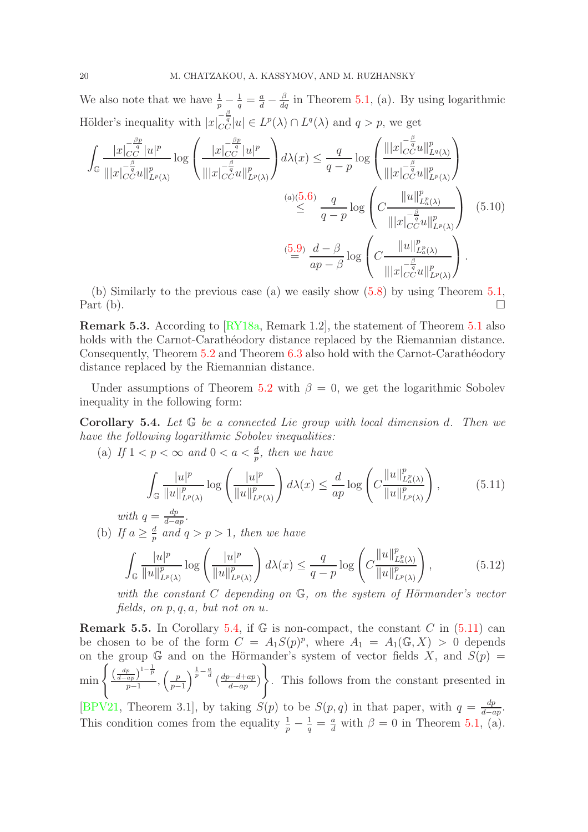We also note that we have  $\frac{1}{p} - \frac{1}{q} = \frac{a}{d} - \frac{\beta}{dq}$  in Theorem [5.1,](#page-18-2) (a). By using logarithmic Hölder's inequality with  $|x|_{CC}^{-\frac{\beta}{q}}|u| \in L^p(\lambda) \cap L^q(\lambda)$  and  $q > p$ , we get

$$
\int_{\mathbb{G}} \frac{|x|_{C_C}^{-\frac{\beta_p}{q}}|u|^p}{\||x|_{C_C}^{-\frac{\beta}{q}}u\|_{L^p(\lambda)}^p} \log \left(\frac{|x|_{C_C}^{-\frac{\beta_p}{q}}|u|^p}{\||x|_{C_C}^{-\frac{\beta}{q}}u\|_{L^p(\lambda)}^p}\right) d\lambda(x) \leq \frac{q}{q-p} \log \left(\frac{\||x|_{C_C}^{-\frac{\beta}{q}}u\|_{L^q(\lambda)}^p}{\||x|_{C_C}^{-\frac{\beta}{q}}u\|_{L^p(\lambda)}^p}\right)
$$
\n
$$
\overset{(a)(5.6)}{\leq} \frac{q}{q-p} \log \left(\frac{\|u\|_{L^p(\lambda)}^p}{\||x|_{C_C^{-q}}^{-\frac{\beta}{q}}u\|_{L^p(\lambda)}^p}\right) \tag{5.10}
$$
\n
$$
\overset{(5.9)}{=} \frac{d-\beta}{ap-\beta} \log \left(\frac{\|u\|_{L^p(\lambda)}^p}{\||x|_{C_C^{-q}}^{-\frac{\beta}{q}}u\|_{L^p(\lambda)}^p}\right). \tag{5.11}
$$

(b) Similarly to the previous case (a) we easily show [\(5.8\)](#page-18-4) by using Theorem [5.1,](#page-18-2) Part (b).  $\Box$ 

<span id="page-19-1"></span>Remark 5.3. According to [\[RY18a,](#page-33-11) Remark 1.2], the statement of Theorem [5.1](#page-18-2) also holds with the Carnot-Carathéodory distance replaced by the Riemannian distance. Consequently, Theorem [5.2](#page-18-0) and Theorem [6.3](#page-22-1) also hold with the Carnot-Carathéodory distance replaced by the Riemannian distance.

Under assumptions of Theorem [5.2](#page-18-0) with  $\beta = 0$ , we get the logarithmic Sobolev inequality in the following form:

<span id="page-19-0"></span>**Corollary 5.4.** Let  $\mathbb{G}$  be a connected Lie group with local dimension d. Then we have the following logarithmic Sobolev inequalities:

(a) If  $1 < p < \infty$  and  $0 < a < \frac{d}{p}$ , then we have

<span id="page-19-2"></span>
$$
\int_{\mathbb{G}} \frac{|u|^p}{\|u\|_{L^p(\lambda)}^p} \log \left(\frac{|u|^p}{\|u\|_{L^p(\lambda)}^p}\right) d\lambda(x) \le \frac{d}{ap} \log \left(C \frac{\|u\|_{L^p(\lambda)}^p}{\|u\|_{L^p(\lambda)}^p}\right),\tag{5.11}
$$

with  $q = \frac{dp}{d-q}$  $rac{ap}{d-ap}.$ 

(b) If  $a \geq \frac{d}{n}$  $\frac{d}{p}$  and  $q > p > 1$ , then we have

<span id="page-19-3"></span>
$$
\int_{\mathbb{G}} \frac{|u|^p}{\|u\|_{L^p(\lambda)}^p} \log \left(\frac{|u|^p}{\|u\|_{L^p(\lambda)}^p}\right) d\lambda(x) \le \frac{q}{q-p} \log \left(C \frac{\|u\|_{L^p(\lambda)}^p}{\|u\|_{L^p(\lambda)}^p}\right),\tag{5.12}
$$

with the constant C depending on  $\mathbb{G}$ , on the system of Hörmander's vector fields, on p, q, a, but not on u.

**Remark 5.5.** In Corollary [5.4,](#page-19-0) if  $\mathbb{G}$  is non-compact, the constant C in [\(5.11\)](#page-19-2) can be chosen to be of the form  $C = A_1 S(p)^p$ , where  $A_1 = A_1(\mathbb{G}, X) > 0$  depends on the group G and on the Hörmander's system of vector fields X, and  $S(p)$  =  $\min \left\{ \frac{\left(\frac{dp}{d-ap}\right)^{1-\frac{1}{p}}}{\frac{n-1}{p}} \right\}$  $\left(\frac{p}{ap}\right)^{1-\overline{p}}, \left(\frac{p}{p-1}\right)$  $p-1$  $\int_{a}^{\frac{1}{p}-\frac{a}{d}} \left( \frac{dp-d+ap}{d-ap} \right)$  $\frac{b-a+ap}{d-ap}\$  $\mathcal{L}$ . This follows from the constant presented in [\[BPV21,](#page-32-1) Theorem 3.1], by taking  $S(p)$  to be  $S(p,q)$  in that paper, with  $q = \frac{dp}{d-p}$  $\frac{dp}{d-ap}.$ This condition comes from the equality  $\frac{1}{p} - \frac{1}{q} = \frac{a}{d}$  with  $\beta = 0$  in Theorem [5.1,](#page-18-2) (a).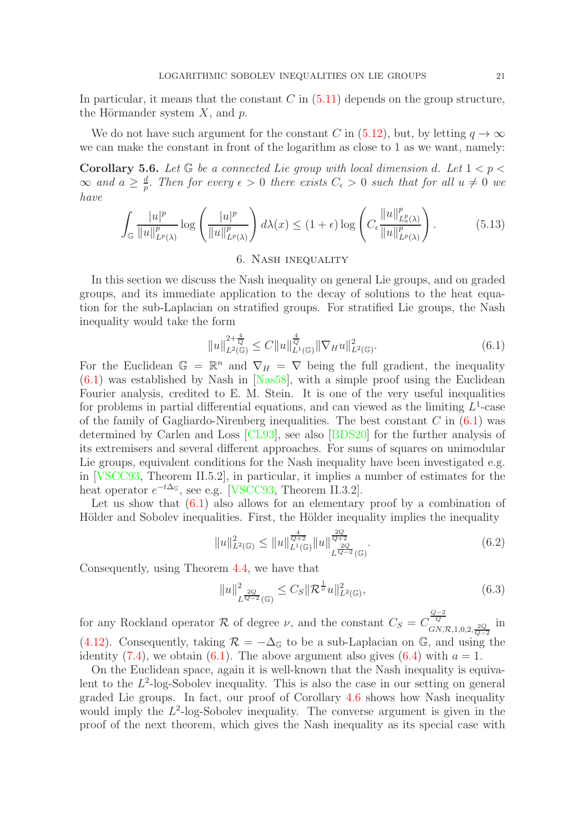In particular, it means that the constant  $C$  in  $(5.11)$  depends on the group structure, the Hörmander system  $X$ , and  $p$ .

We do not have such argument for the constant C in [\(5.12\)](#page-19-3), but, by letting  $q \to \infty$ we can make the constant in front of the logarithm as close to 1 as we want, namely:

**Corollary 5.6.** Let  $\mathbb{G}$  be a connected Lie group with local dimension d. Let  $1 < p <$  $\infty$  and  $a \geq \frac{d}{n}$  $\frac{d}{p}$ . Then for every  $\epsilon > 0$  there exists  $C_{\epsilon} > 0$  such that for all  $u \neq 0$  we have

$$
\int_{\mathbb{G}} \frac{|u|^p}{\|u\|_{L^p(\lambda)}^p} \log \left(\frac{|u|^p}{\|u\|_{L^p(\lambda)}^p}\right) d\lambda(x) \le (1+\epsilon) \log \left(C_{\epsilon} \frac{\|u\|_{L^p(\lambda)}^p}{\|u\|_{L^p(\lambda)}^p}\right). \tag{5.13}
$$

# 6. Nash inequality

<span id="page-20-0"></span>In this section we discuss the Nash inequality on general Lie groups, and on graded groups, and its immediate application to the decay of solutions to the heat equation for the sub-Laplacian on stratified groups. For stratified Lie groups, the Nash inequality would take the form

<span id="page-20-1"></span>
$$
||u||_{L^{2}(\mathbb{G})}^{2+\frac{4}{Q}} \leq C||u||_{L^{1}(\mathbb{G})}^{\frac{4}{Q}}||\nabla_{H}u||_{L^{2}(\mathbb{G})}^{2}.
$$
\n(6.1)

For the Euclidean  $\mathbb{G} = \mathbb{R}^n$  and  $\nabla_H = \nabla$  being the full gradient, the inequality  $(6.1)$  was established by Nash in [\[Nas58\]](#page-32-12), with a simple proof using the Euclidean Fourier analysis, credited to E. M. Stein. It is one of the very useful inequalities for problems in partial differential equations, and can viewed as the limiting  $L^1$ -case of the family of Gagliardo-Nirenberg inequalities. The best constant  $C$  in  $(6.1)$  was determined by Carlen and Loss [\[CL93\]](#page-32-24), see also [\[BDS20\]](#page-31-11) for the further analysis of its extremisers and several different approaches. For sums of squares on unimodular Lie groups, equivalent conditions for the Nash inequality have been investigated e.g. in [\[VSCC93,](#page-33-1) Theorem II.5.2], in particular, it implies a number of estimates for the heat operator  $e^{-t\Delta_{\mathbb{G}}},$  see e.g. [\[VSCC93,](#page-33-1) Theorem II.3.2].

Let us show that  $(6.1)$  also allows for an elementary proof by a combination of Hölder and Sobolev inequalities. First, the Hölder inequality implies the inequality

$$
||u||_{L^{2}(\mathbb{G})}^{2} \leq ||u||_{L^{1}(\mathbb{G})}^{\frac{4}{Q+2}} ||u||_{L^{\frac{2Q}{Q-2}}(\mathbb{G})}^{\frac{2Q}{Q+2}}.
$$
\n(6.2)

Consequently, using Theorem [4.4,](#page-12-3) we have that

$$
||u||_{L^{\frac{2Q}{Q-2}}(\mathbb{G})}^2 \le C_S ||\mathcal{R}^{\frac{1}{\nu}} u||_{L^2(\mathbb{G})}^2,
$$
\n(6.3)

for any Rockland operator R of degree  $\nu$ , and the constant  $C_S = C_{\overline{Q_N}}^{\overline{Q-2}}$  $GN, R, 1, 0, 2, \frac{2Q}{Q-2}$ in [\(4.12\)](#page-12-2). Consequently, taking  $\mathcal{R} = -\Delta_{\mathbb{G}}$  to be a sub-Laplacian on  $\mathbb{G}$ , and using the identity [\(7.4\)](#page-25-2), we obtain [\(6.1\)](#page-20-1). The above argument also gives [\(6.4\)](#page-21-1) with  $a = 1$ .

On the Euclidean space, again it is well-known that the Nash inequality is equivalent to the  $L^2$ -log-Sobolev inequality. This is also the case in our setting on general graded Lie groups. In fact, our proof of Corollary [4.6](#page-13-1) shows how Nash inequality would imply the  $L^2$ -log-Sobolev inequality. The converse argument is given in the proof of the next theorem, which gives the Nash inequality as its special case with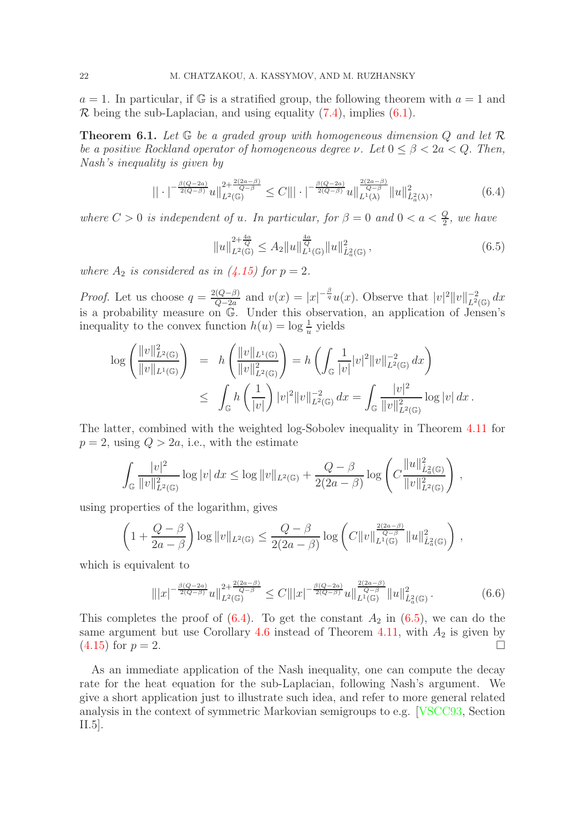$a = 1$ . In particular, if G is a stratified group, the following theorem with  $a = 1$  and  $\mathcal R$  being the sub-Laplacian, and using equality [\(7.4\)](#page-25-2), implies [\(6.1\)](#page-20-1).

<span id="page-21-0"></span>**Theorem 6.1.** Let  $\mathbb{G}$  be a graded group with homogeneous dimension  $Q$  and let  $\mathcal{R}$ be a positive Rockland operator of homogeneous degree  $\nu$ . Let  $0 \leq \beta < 2a < Q$ . Then, Nash's inequality is given by

<span id="page-21-1"></span>
$$
|| \cdot |^{-\frac{\beta(Q-2a)}{2(Q-\beta)}} u ||_{L^{2}(\mathbb{G})}^{2+\frac{2(2a-\beta)}{Q-\beta}} \leq C ||| \cdot |^{-\frac{\beta(Q-2a)}{2(Q-\beta)}} u ||_{L^{1}(\lambda)}^{\frac{2(2a-\beta)}{Q-\beta}} || u ||_{L^{2}(\lambda)}^{2}, \tag{6.4}
$$

where  $C > 0$  is independent of u. In particular, for  $\beta = 0$  and  $0 < a < \frac{Q}{2}$ , we have

<span id="page-21-2"></span>
$$
||u||_{L^{2}(\mathbb{G})}^{2+\frac{4a}{Q}} \leq A_{2}||u||_{L^{1}(\mathbb{G})}^{\frac{4a}{Q}}||u||_{\dot{L}_{a}^{2}(\mathbb{G})}^{2}, \qquad (6.5)
$$

where  $A_2$  is considered as in [\(4.15\)](#page-13-0) for  $p = 2$ .

*Proof.* Let us choose  $q = \frac{2(Q-\beta)}{Q-2a}$  $\frac{d(Q-\beta)}{Q-2a}$  and  $v(x) = |x|^{-\frac{\beta}{q}}u(x)$ . Observe that  $|v|^2 ||v||_{L^2(\mathbb{G})}^{-2} dx$ is a probability measure on  $\mathbb{G}$ . Under this observation, an application of Jensen's inequality to the convex function  $h(u) = \log \frac{1}{u}$  yields

$$
\log \left( \frac{\|v\|_{L^2(\mathbb{G})}^2}{\|v\|_{L^1(\mathbb{G})}} \right) = h \left( \frac{\|v\|_{L^1(\mathbb{G})}}{\|v\|_{L^2(\mathbb{G})}^2} \right) = h \left( \int_{\mathbb{G}} \frac{1}{|v|} |v|^2 \|v\|_{L^2(\mathbb{G})}^{-2} dx \right)
$$
  

$$
\leq \int_{\mathbb{G}} h \left( \frac{1}{|v|} \right) |v|^2 \|v\|_{L^2(\mathbb{G})}^{-2} dx = \int_{\mathbb{G}} \frac{|v|^2}{\|v\|_{L^2(\mathbb{G})}^2} \log |v| dx.
$$

The latter, combined with the weighted log-Sobolev inequality in Theorem [4.11](#page-15-0) for  $p = 2$ , using  $Q > 2a$ , i.e., with the estimate

$$
\int_{\mathbb{G}}\frac{|v|^2}{\|v\|_{L^2(\mathbb{G})}^2}\log|v|\,dx\leq \log\|v\|_{L^2(\mathbb{G})}+\frac{Q-\beta}{2(2a-\beta)}\log\left(C\frac{\|u\|_{L^2(\mathbb{G})}^2}{\|v\|_{L^2(\mathbb{G})}^2}\right),
$$

using properties of the logarithm, gives

$$
\left(1+\frac{Q-\beta}{2a-\beta}\right)\log\|v\|_{L^2(\mathbb{G})}\leq\frac{Q-\beta}{2(2a-\beta)}\log\left(C\|v\|_{L^1(\mathbb{G})}^{\frac{2(2a-\beta)}{Q-\beta}}\|u\|_{L^2_a(\mathbb{G})}^2\right)\,,
$$

which is equivalent to

$$
\| |x|^{-\frac{\beta(Q-2a)}{2(Q-\beta)}} u \|_{L^2(\mathbb{G})}^{2+\frac{2(2a-\beta)}{Q-\beta}} \leq C \| |x|^{-\frac{\beta(Q-2a)}{2(Q-\beta)}} u \|_{L^1(\mathbb{G})}^{\frac{2(2a-\beta)}{Q-\beta}} \| u \|_{L^2(\mathbb{G})}^2 \,. \tag{6.6}
$$

This completes the proof of  $(6.4)$ . To get the constant  $A_2$  in  $(6.5)$ , we can do the same argument but use Corollary [4.6](#page-13-1) instead of Theorem [4.11,](#page-15-0) with  $A_2$  is given by  $(4.15)$  for  $p = 2$ .

As an immediate application of the Nash inequality, one can compute the decay rate for the heat equation for the sub-Laplacian, following Nash's argument. We give a short application just to illustrate such idea, and refer to more general related analysis in the context of symmetric Markovian semigroups to e.g. [\[VSCC93,](#page-33-1) Section II.5].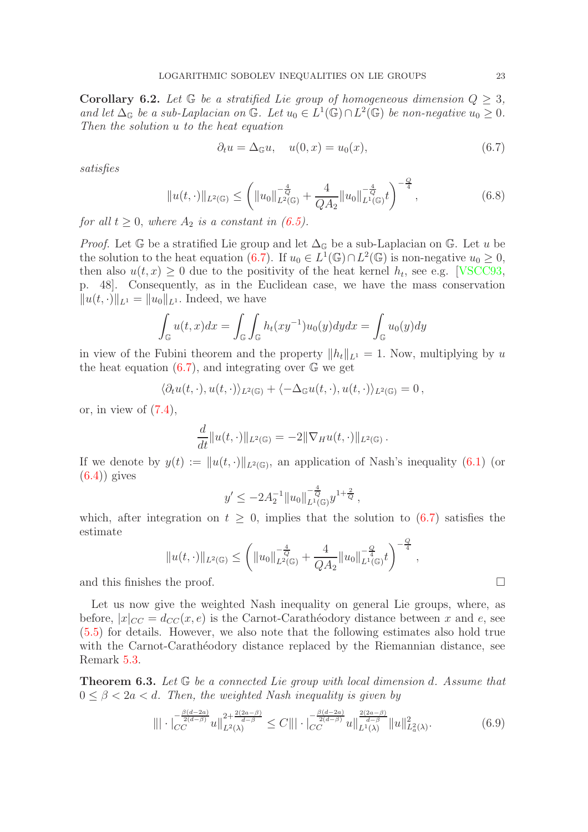<span id="page-22-0"></span>**Corollary 6.2.** Let  $\mathbb{G}$  be a stratified Lie group of homogeneous dimension  $Q \geq 3$ , and let  $\Delta_{\mathbb{G}}$  be a sub-Laplacian on  $\mathbb{G}$ . Let  $u_0 \in L^1(\mathbb{G}) \cap L^2(\mathbb{G})$  be non-negative  $u_0 \geq 0$ . Then the solution u to the heat equation

<span id="page-22-2"></span>
$$
\partial_t u = \Delta_{\mathbb{G}} u, \quad u(0, x) = u_0(x), \tag{6.7}
$$

satisfies

$$
||u(t, \cdot)||_{L^{2}(\mathbb{G})} \leq \left(||u_{0}||_{L^{2}(\mathbb{G})}^{-\frac{4}{Q}} + \frac{4}{QA_{2}}||u_{0}||_{L^{1}(\mathbb{G})}^{-\frac{4}{Q}}t\right)^{-\frac{Q}{4}},
$$
\n(6.8)

for all  $t \geq 0$ , where  $A_2$  is a constant in [\(6.5\)](#page-21-2).

*Proof.* Let  $\mathbb{G}$  be a stratified Lie group and let  $\Delta_{\mathbb{G}}$  be a sub-Laplacian on  $\mathbb{G}$ . Let u be the solution to the heat equation [\(6.7\)](#page-22-2). If  $u_0 \in L^1(\mathbb{G}) \cap L^2(\mathbb{G})$  is non-negative  $u_0 \geq 0$ , then also  $u(t, x) \geq 0$  due to the positivity of the heat kernel  $h_t$ , see e.g. [\[VSCC93,](#page-33-1) p. 48]. Consequently, as in the Euclidean case, we have the mass conservation  $||u(t, \cdot)||_{L^1} = ||u_0||_{L^1}$ . Indeed, we have

$$
\int_{\mathbb{G}} u(t,x)dx = \int_{\mathbb{G}} \int_{\mathbb{G}} h_t(xy^{-1})u_0(y)dydx = \int_{\mathbb{G}} u_0(y)dy
$$

in view of the Fubini theorem and the property  $||h_t||_{L^1} = 1$ . Now, multiplying by u the heat equation  $(6.7)$ , and integrating over  $\mathbb{G}$  we get

$$
\langle \partial_t u(t,\cdot), u(t,\cdot) \rangle_{L^2(\mathbb{G})} + \langle -\Delta_{\mathbb{G}} u(t,\cdot), u(t,\cdot) \rangle_{L^2(\mathbb{G})} = 0,
$$

or, in view of  $(7.4)$ ,

$$
\frac{d}{dt}||u(t,\cdot)||_{L^2(\mathbb{G})} = -2||\nabla_H u(t,\cdot)||_{L^2(\mathbb{G})}.
$$

If we denote by  $y(t) := ||u(t, \cdot)||_{L^2(\mathbb{G})}$ , an application of Nash's inequality [\(6.1\)](#page-20-1) (or  $(6.4)$ ) gives

$$
y' \le -2A_2^{-1} ||u_0||_{L^1(\mathbb{G})}^{-\frac{4}{Q}} y^{1+\frac{2}{Q}},
$$

which, after integration on  $t \geq 0$ , implies that the solution to  $(6.7)$  satisfies the estimate

$$
||u(t, \cdot)||_{L^{2}(\mathbb{G})} \leq \left(||u_{0}||_{L^{2}(\mathbb{G})}^{-\frac{4}{Q}} + \frac{4}{QA_{2}}||u_{0}||_{L^{1}(\mathbb{G})}^{-\frac{Q}{4}}t\right)^{-\frac{Q}{4}}
$$

and this finishes the proof.

Let us now give the weighted Nash inequality on general Lie groups, where, as before,  $|x|_{CC} = d_{CC}(x, e)$  is the Carnot-Carathéodory distance between x and e, see [\(5.5\)](#page-17-0) for details. However, we also note that the following estimates also hold true with the Carnot-Carathéodory distance replaced by the Riemannian distance, see Remark [5.3.](#page-19-1)

<span id="page-22-1"></span>Theorem 6.3. Let G be a connected Lie group with local dimension d. Assume that  $0 \leq \beta < 2a < d$ . Then, the weighted Nash inequality is given by

$$
\| |\cdot| \frac{e^{\frac{\beta(d-2a)}{2(d-\beta)}}}{C^c} u \|_{L^2(\lambda)}^{2+\frac{2(2a-\beta)}{d-\beta}} \le C \| |\cdot| \frac{e^{\frac{\beta(d-2a)}{2(d-\beta)}}}{C^c} u \|_{L^1(\lambda)}^{\frac{2(2a-\beta)}{d-\beta}} \| u \|_{L^2(\lambda)}^2. \tag{6.9}
$$

,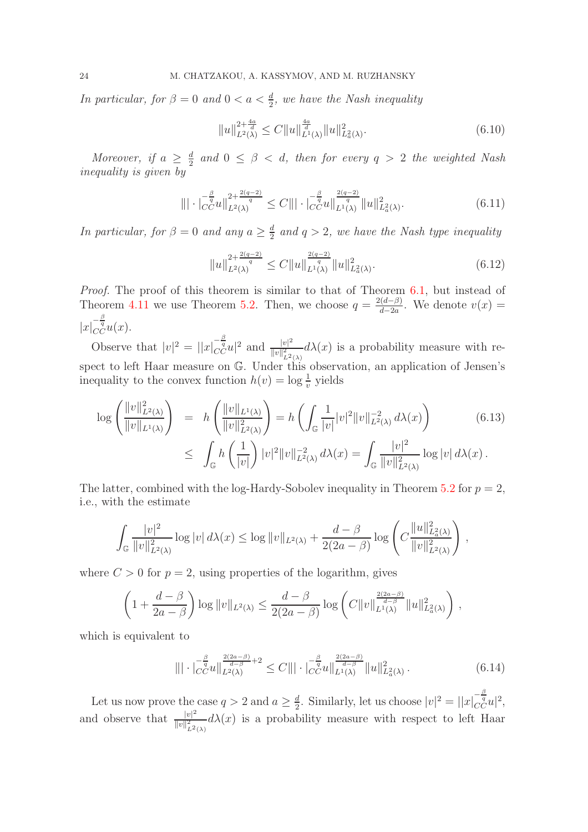In particular, for  $\beta = 0$  and  $0 < a < \frac{d}{2}$ , we have the Nash inequality

$$
||u||_{L^{2}(\lambda)}^{2+\frac{4a}{d}} \leq C||u||_{L^{1}(\lambda)}^{\frac{4a}{d}}||u||_{L^{2}(\lambda)}^{2}.
$$
\n(6.10)

Moreover, if  $a \geq \frac{d}{2}$  $\frac{d}{2}$  and  $0 \leq \beta < d$ , then for every  $q > 2$  the weighted Nash inequality is given by

$$
\| |\cdot|_{C}^{-\frac{\beta}{q}} u \|_{L^2(\lambda)}^{2 + \frac{2(q-2)}{q}} \le C \| |\cdot|_{C}^{-\frac{\beta}{q}} u \|_{L^1(\lambda)}^{\frac{2(q-2)}{q}} \| u \|_{L^2(\lambda)}^2. \tag{6.11}
$$

In particular, for  $\beta = 0$  and any  $a \geq \frac{d}{2}$  $\frac{d}{2}$  and  $q > 2$ , we have the Nash type inequality

$$
||u||_{L^{2}(\lambda)}^{2+\frac{2(q-2)}{q}} \le C||u||_{L^{1}(\lambda)}^{\frac{2(q-2)}{q}} ||u||_{L^{2}_{a}(\lambda)}^{2}.
$$
\n(6.12)

Proof. The proof of this theorem is similar to that of Theorem [6.1,](#page-21-0) but instead of Theorem [4.11](#page-15-0) we use Theorem [5.2.](#page-18-0) Then, we choose  $q = \frac{2(d-\beta)}{d-2a}$  $\frac{d^{(a-\beta)}}{d-2a}$ . We denote  $v(x) =$  $|x|_{CC}^{-\frac{\beta}{q}}u(x).$ 

Observe that  $|v|^2 = ||x|_{CC}^{-\frac{\beta}{q}}u|^2$  and  $\frac{|v|^2}{||v||_{\infty}^2}$  $\frac{|v|^2}{||v||^2_{L^2(\lambda)}}d\lambda(x)$  is a probability measure with respect to left Haar measure on G. Under this observation, an application of Jensen's inequality to the convex function  $h(v) = \log \frac{1}{v}$  yields

<span id="page-23-0"></span>
$$
\log \left( \frac{\|v\|_{L^2(\lambda)}^2}{\|v\|_{L^1(\lambda)}} \right) = h \left( \frac{\|v\|_{L^1(\lambda)}}{\|v\|_{L^2(\lambda)}^2} \right) = h \left( \int_{\mathbb{G}} \frac{1}{|v|} |v|^2 \|v\|_{L^2(\lambda)}^{-2} d\lambda(x) \right) \tag{6.13}
$$
\n
$$
\leq \int_{\mathbb{G}} h \left( \frac{1}{|v|} \right) |v|^2 \|v\|_{L^2(\lambda)}^{-2} d\lambda(x) = \int_{\mathbb{G}} \frac{|v|^2}{\|v\|_{L^2(\lambda)}^2} \log |v| d\lambda(x) .
$$

The latter, combined with the log-Hardy-Sobolev inequality in Theorem [5.2](#page-18-0) for  $p = 2$ , i.e., with the estimate

$$
\int_{\mathbb{G}} \frac{|v|^2}{\|v\|_{L^2(\lambda)}^2} \log |v| \, d\lambda(x) \le \log \|v\|_{L^2(\lambda)} + \frac{d-\beta}{2(2a-\beta)} \log \left( C \frac{\|u\|_{L^2(\lambda)}^2}{\|v\|_{L^2(\lambda)}^2} \right) \, ,
$$

where  $C > 0$  for  $p = 2$ , using properties of the logarithm, gives

$$
\left(1+\frac{d-\beta}{2a-\beta}\right)\log\|v\|_{L^2(\lambda)}\leq\frac{d-\beta}{2(2a-\beta)}\log\left(C\|v\|_{L^1(\lambda)}^{\frac{2(2a-\beta)}{d-\beta}}\|u\|_{L^2(\lambda)}^2\right),
$$

which is equivalent to

$$
\| |\cdot|_{CC}^{-\frac{\beta}{q}} u \|_{L^{2}(\lambda)}^{\frac{2(2a-\beta)}{d-\beta}+2} \leq C \| |\cdot|_{CC}^{-\frac{\beta}{q}} u \|_{L^{1}(\lambda)}^{\frac{2(2a-\beta)}{d-\beta}} \| u \|_{L^{2}(\lambda)}^{2} . \tag{6.14}
$$

Let us now prove the case  $q > 2$  and  $a \geq \frac{d}{2}$  $\frac{d}{2}$ . Similarly, let us choose  $|v|^2 = ||x|_{CC}^{-\frac{\beta}{q}}u|^2$ , and observe that  $\frac{|v|^2}{||v||^2}$  $\frac{|v|}{||v||_{L^2(\lambda)}} d\lambda(x)$  is a probability measure with respect to left Haar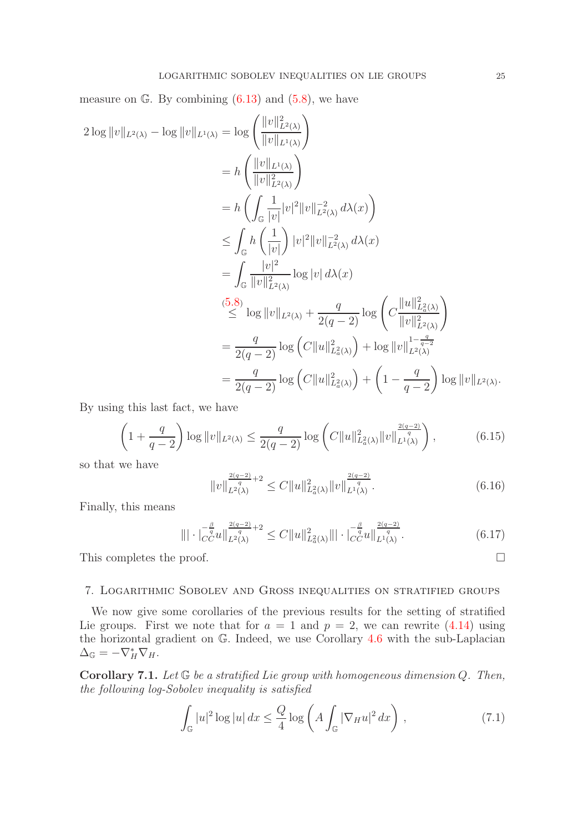measure on  $\mathbb{G}$ . By combining  $(6.13)$  and  $(5.8)$ , we have

$$
2 \log ||v||_{L^{2}(\lambda)} - \log ||v||_{L^{1}(\lambda)} = \log \left(\frac{||v||_{L^{2}(\lambda)}}{||v||_{L^{1}(\lambda)}}\right)
$$
  
\n
$$
= h \left(\frac{||v||_{L^{1}(\lambda)}}{||v||_{L^{2}(\lambda)}^{2}}\right)
$$
  
\n
$$
= h \left(\int_{\mathbb{G}} \frac{1}{|v|} |v|^{2} ||v||_{L^{2}(\lambda)}^{-2} d\lambda(x)\right)
$$
  
\n
$$
\leq \int_{\mathbb{G}} h \left(\frac{1}{|v|}\right) |v|^{2} ||v||_{L^{2}(\lambda)}^{-2} d\lambda(x)
$$
  
\n
$$
= \int_{\mathbb{G}} \frac{|v|^{2}}{||v||_{L^{2}(\lambda)}^{2}} \log |v| d\lambda(x)
$$
  
\n
$$
\leq \log ||v||_{L^{2}(\lambda)} + \frac{q}{2(q-2)} \log \left(C \frac{||u||_{L^{2}(\lambda)}^{2}}{||v||_{L^{2}(\lambda)}^{2}}\right)
$$
  
\n
$$
= \frac{q}{2(q-2)} \log \left(C ||u||_{L^{2}(\lambda)}^{2} \right) + \log ||v||_{L^{2}(\lambda)}^{1 - \frac{q}{q-2}}
$$
  
\n
$$
= \frac{q}{2(q-2)} \log \left(C ||u||_{L^{2}(\lambda)}^{2} \right) + \left(1 - \frac{q}{q-2}\right) \log ||v||_{L^{2}(\lambda)}.
$$

By using this last fact, we have

$$
\left(1 + \frac{q}{q-2}\right) \log \|v\|_{L^2(\lambda)} \le \frac{q}{2(q-2)} \log \left( C \|u\|_{L^2_a(\lambda)}^2 \|v\|_{L^1(\lambda)}^{\frac{2(q-2)}{q}} \right),\tag{6.15}
$$

so that we have

$$
||v||_{L^{2}(\lambda)}^{\frac{2(q-2)}{q}+2} \leq C||u||_{L^{2}_{a}(\lambda)}^{2} ||v||_{L^{1}(\lambda)}^{\frac{2(q-2)}{q}}.
$$
\n(6.16)

Finally, this means

$$
\|\cdot|_{CC}^{-\frac{\beta}{q}}u\|_{L^{2}(\lambda)}^{\frac{2(q-2)}{q}+2} \leq C\|u\|_{L^{2}_{a}(\lambda)}^{2}\|\cdot|_{CC}^{-\frac{\beta}{q}}u\|_{L^{1}(\lambda)}^{\frac{2(q-2)}{q}}.
$$
\n(6.17)

This completes the proof.  $\Box$ 

# <span id="page-24-0"></span>7. Logarithmic Sobolev and Gross inequalities on stratified groups

We now give some corollaries of the previous results for the setting of stratified Lie groups. First we note that for  $a = 1$  and  $p = 2$ , we can rewrite [\(4.14\)](#page-13-3) using the horizontal gradient on G. Indeed, we use Corollary [4.6](#page-13-1) with the sub-Laplacian  $\Delta_{\mathbb{G}} = -\nabla_H^* \nabla_H.$ 

<span id="page-24-2"></span>**Corollary 7.1.** Let  $\mathbb{G}$  be a stratified Lie group with homogeneous dimension Q. Then, the following log-Sobolev inequality is satisfied

<span id="page-24-1"></span>
$$
\int_{\mathbb{G}} |u|^2 \log |u| \, dx \le \frac{Q}{4} \log \left( A \int_{\mathbb{G}} |\nabla_H u|^2 \, dx \right) \,, \tag{7.1}
$$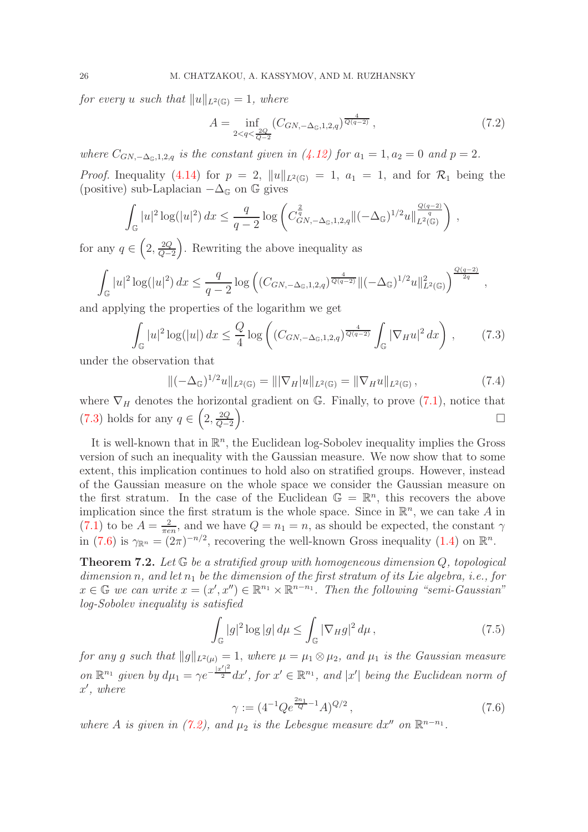for every u such that  $||u||_{L^2(\mathbb{G})} = 1$ , where

<span id="page-25-1"></span>
$$
A = \inf_{2 < q < \frac{2Q}{Q-2}} \left( C_{GN, -\Delta_{\mathbb{G}}, 1, 2, q} \right)^{\frac{4}{Q(q-2)}},\tag{7.2}
$$

where  $C_{GN,-\Delta_{\mathbb{G}},1,2,q}$  is the constant given in  $(4.12)$  for  $a_1 = 1, a_2 = 0$  and  $p = 2$ .

*Proof.* Inequality [\(4.14\)](#page-13-3) for  $p = 2$ ,  $||u||_{L^2(\mathbb{G})} = 1$ ,  $a_1 = 1$ , and for  $\mathcal{R}_1$  being the (positive) sub-Laplacian  $-\Delta_{\mathbb{G}}$  on  $\mathbb{G}$  gives

$$
\int_{\mathbb{G}}|u|^{2}\log(|u|^{2}) dx \leq \frac{q}{q-2}\log\left(C_{GN,-\Delta_{\mathbb{G}},1,2,q}^{\frac{2}{q}}\|(-\Delta_{\mathbb{G}})^{1/2}u\|_{L^{2}(\mathbb{G})}^{\frac{Q(q-2)}{q}}\right),
$$

for any  $q \in \left(2, \frac{2Q}{Q-1}\right)$ Q−2 . Rewriting the above inequality as

$$
\int_{\mathbb{G}} |u|^2 \log(|u|^2) dx \le \frac{q}{q-2} \log \left( (C_{GN, -\Delta_{\mathbb{G}}, 1, 2, q})^{\frac{4}{Q(q-2)}} \| (-\Delta_{\mathbb{G}})^{1/2} u \|_{L^2(\mathbb{G})}^2 \right)^{\frac{Q(q-2)}{2q}},
$$

and applying the properties of the logarithm we get

<span id="page-25-3"></span>
$$
\int_{\mathbb{G}} |u|^2 \log(|u|) dx \le \frac{Q}{4} \log \left( (C_{GN, -\Delta_{\mathbb{G}}, 1, 2, q})^{\frac{4}{Q(q-2)}} \int_{\mathbb{G}} |\nabla_H u|^2 dx \right), \tag{7.3}
$$

under the observation that

<span id="page-25-2"></span>
$$
\|(-\Delta_{\mathbb{G}})^{1/2}u\|_{L^{2}(\mathbb{G})}=\||\nabla_{H}|u\|_{L^{2}(\mathbb{G})}=\|\nabla_{H}u\|_{L^{2}(\mathbb{G})},
$$
\n(7.4)

where  $\nabla_H$  denotes the horizontal gradient on G. Finally, to prove [\(7.1\)](#page-24-1), notice that [\(7.3\)](#page-25-3) holds for any  $q \in \left(2, \frac{2Q}{Q-1}\right)$ Q−2  $\overline{ }$ . <u>Дания в собор на селото на селото на селото на селото на селото на селото на селото на селото на селото на с</u>

It is well-known that in  $\mathbb{R}^n$ , the Euclidean log-Sobolev inequality implies the Gross version of such an inequality with the Gaussian measure. We now show that to some extent, this implication continues to hold also on stratified groups. However, instead of the Gaussian measure on the whole space we consider the Gaussian measure on the first stratum. In the case of the Euclidean  $\mathbb{G} = \mathbb{R}^n$ , this recovers the above implication since the first stratum is the whole space. Since in  $\mathbb{R}^n$ , we can take A in  $(7.1)$  to be  $A=\frac{2}{\pi e}$  $\frac{2}{\pi en}$ , and we have  $Q = n_1 = n$ , as should be expected, the constant  $\gamma$ in [\(7.6\)](#page-25-4) is  $\gamma_{\mathbb{R}^n} = (2\pi)^{-n/2}$ , recovering the well-known Gross inequality [\(1.4\)](#page-2-0) on  $\mathbb{R}^n$ .

<span id="page-25-0"></span>**Theorem 7.2.** Let  $\mathbb{G}$  be a stratified group with homogeneous dimension  $Q$ , topological dimension n, and let  $n_1$  be the dimension of the first stratum of its Lie algebra, i.e., for  $x \in \mathbb{G}$  we can write  $x = (x', x'') \in \mathbb{R}^{n_1} \times \mathbb{R}^{n-n_1}$ . Then the following "semi-Gaussian" log-Sobolev inequality is satisfied

<span id="page-25-5"></span>
$$
\int_{\mathbb{G}} |g|^2 \log |g| \, d\mu \le \int_{\mathbb{G}} |\nabla_H g|^2 \, d\mu \,, \tag{7.5}
$$

for any g such that  $||g||_{L^2(\mu)} = 1$ , where  $\mu = \mu_1 \otimes \mu_2$ , and  $\mu_1$  is the Gaussian measure on  $\mathbb{R}^{n_1}$  given by  $d\mu_1 = \gamma e^{-\frac{|x'|^2}{2}} dx'$ , for  $x' \in \mathbb{R}^{n_1}$ , and  $|x'|$  being the Euclidean norm of  $x'$ , where

<span id="page-25-4"></span>
$$
\gamma := (4^{-1} Q e^{\frac{2n_1}{Q} - 1} A)^{Q/2}, \qquad (7.6)
$$

where A is given in [\(7.2\)](#page-25-1), and  $\mu_2$  is the Lebesgue measure  $dx''$  on  $\mathbb{R}^{n-n_1}$ .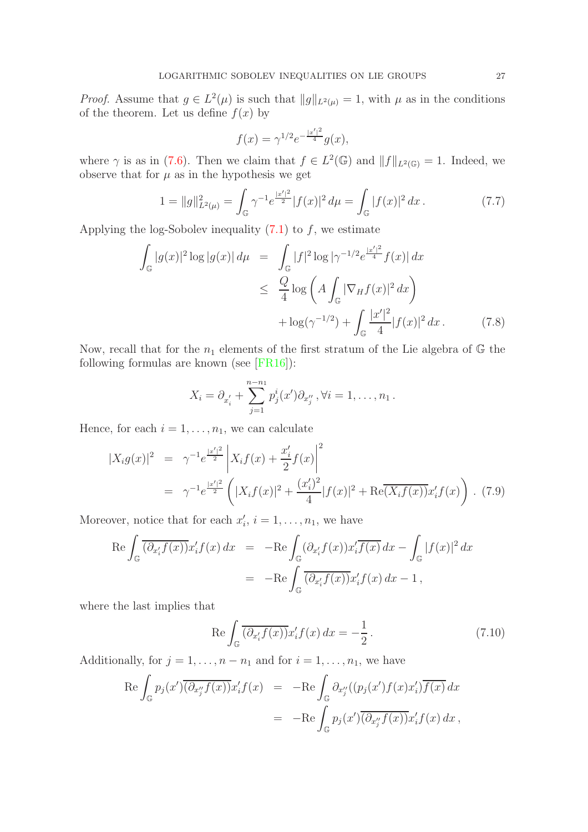*Proof.* Assume that  $g \in L^2(\mu)$  is such that  $||g||_{L^2(\mu)} = 1$ , with  $\mu$  as in the conditions of the theorem. Let us define  $f(x)$  by

$$
f(x) = \gamma^{1/2} e^{-\frac{|x'|^2}{4}} g(x),
$$

where  $\gamma$  is as in [\(7.6\)](#page-25-4). Then we claim that  $f \in L^2(\mathbb{G})$  and  $||f||_{L^2(\mathbb{G})} = 1$ . Indeed, we observe that for  $\mu$  as in the hypothesis we get

$$
1 = ||g||_{L^{2}(\mu)}^{2} = \int_{\mathbb{G}} \gamma^{-1} e^{\frac{|x'|^{2}}{2}} |f(x)|^{2} d\mu = \int_{\mathbb{G}} |f(x)|^{2} dx.
$$
 (7.7)

Applying the log-Sobolev inequality  $(7.1)$  to f, we estimate

<span id="page-26-2"></span>
$$
\int_{\mathbb{G}} |g(x)|^2 \log |g(x)| d\mu = \int_{\mathbb{G}} |f|^2 \log |\gamma^{-1/2} e^{\frac{|x'|^2}{4}} f(x)| dx
$$
\n
$$
\leq \frac{Q}{4} \log \left( A \int_{\mathbb{G}} |\nabla_H f(x)|^2 dx \right)
$$
\n
$$
+ \log(\gamma^{-1/2}) + \int_{\mathbb{G}} \frac{|x'|^2}{4} |f(x)|^2 dx. \tag{7.8}
$$

Now, recall that for the  $n_1$  elements of the first stratum of the Lie algebra of  $\mathbb{G}$  the following formulas are known (see [\[FR16\]](#page-32-22)):

$$
X_i = \partial_{x'_i} + \sum_{j=1}^{n-n_1} p'_j(x') \partial_{x''_j}, \forall i = 1, \dots, n_1.
$$

Hence, for each  $i = 1, \ldots, n_1$ , we can calculate

<span id="page-26-1"></span>
$$
\begin{split} |X_i g(x)|^2 &= \gamma^{-1} e^{\frac{|x'|^2}{2}} \left| X_i f(x) + \frac{x_i'}{2} f(x) \right|^2 \\ &= \gamma^{-1} e^{\frac{|x'|^2}{2}} \left( |X_i f(x)|^2 + \frac{(x_i')^2}{4} |f(x)|^2 + \text{Re}(\overline{X_i f(x)}) x_i' f(x) \right) \,. \end{split} \tag{7.9}
$$

Moreover, notice that for each  $x'_i$ ,  $i = 1, \ldots, n_1$ , we have

$$
\operatorname{Re} \int_{\mathbb{G}} \overline{(\partial_{x'_i} f(x))} x'_i f(x) dx = -\operatorname{Re} \int_{\mathbb{G}} (\partial_{x'_i} f(x)) x'_i \overline{f(x)} dx - \int_{\mathbb{G}} |f(x)|^2 dx
$$
  
= 
$$
-\operatorname{Re} \int_{\mathbb{G}} \overline{(\partial_{x'_i} f(x))} x'_i f(x) dx - 1,
$$

where the last implies that

<span id="page-26-0"></span>
$$
\operatorname{Re}\int_{\mathbb{G}}\overline{(\partial_{x'_i}f(x))}x'_i f(x) dx = -\frac{1}{2}.
$$
\n(7.10)

Additionally, for  $j = 1, \ldots, n - n_1$  and for  $i = 1, \ldots, n_1$ , we have

$$
\begin{array}{rcl}\n\text{Re} \int_{\mathbb{G}} p_j(x') \overline{(\partial_{x_j''} f(x))} x_i' f(x) & = & -\text{Re} \int_{\mathbb{G}} \partial_{x_j''} ((p_j(x') f(x) x_i') \overline{f(x)} \, dx \\
& = & -\text{Re} \int_{\mathbb{G}} p_j(x') \overline{(\partial_{x_j''} f(x))} x_i' f(x) \, dx \, ,\n\end{array}
$$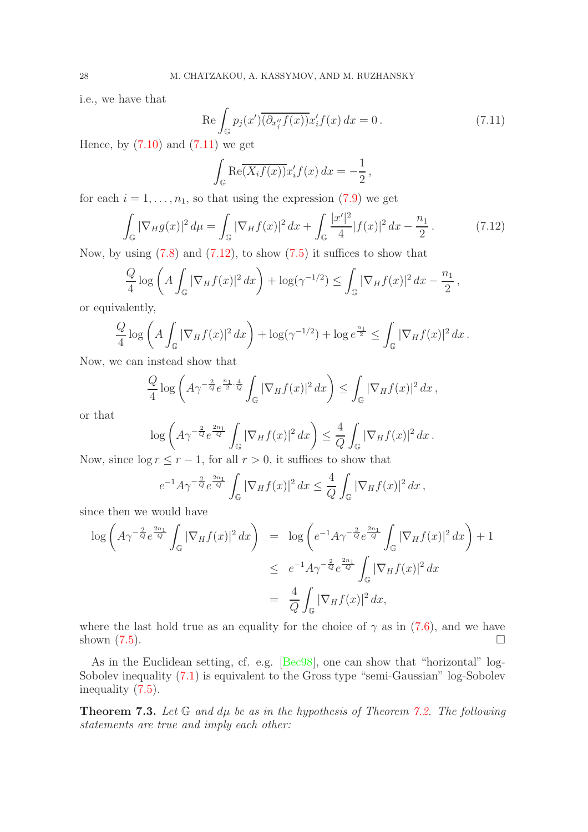i.e., we have that

<span id="page-27-1"></span>
$$
\operatorname{Re}\int_{\mathbb{G}}p_j(x')\overline{(\partial_{x_j''}f(x))}x_i'f(x)\,dx=0\,.
$$
\n(7.11)

Hence, by  $(7.10)$  and  $(7.11)$  we get

$$
\int_{\mathbb{G}} \text{Re}\overline{(X_i f(x))} x'_i f(x) dx = -\frac{1}{2},
$$

for each  $i = 1, \ldots, n_1$ , so that using the expression [\(7.9\)](#page-26-1) we get

<span id="page-27-2"></span>
$$
\int_{\mathbb{G}} |\nabla_{H} g(x)|^{2} d\mu = \int_{\mathbb{G}} |\nabla_{H} f(x)|^{2} dx + \int_{\mathbb{G}} \frac{|x'|^{2}}{4} |f(x)|^{2} dx - \frac{n_{1}}{2}.
$$
\n(7.12)

Now, by using  $(7.8)$  and  $(7.12)$ , to show  $(7.5)$  it suffices to show that

$$
\frac{Q}{4}\log\left(A\int_{\mathbb{G}}|\nabla_H f(x)|^2\,dx\right) + \log(\gamma^{-1/2}) \le \int_{\mathbb{G}}|\nabla_H f(x)|^2\,dx - \frac{n_1}{2},
$$

or equivalently,

$$
\frac{Q}{4}\log\left(A\int_{\mathbb{G}}|\nabla_H f(x)|^2\,dx\right) + \log(\gamma^{-1/2}) + \log e^{\frac{n_1}{2}} \le \int_{\mathbb{G}}|\nabla_H f(x)|^2\,dx\,.
$$

Now, we can instead show that

$$
\frac{Q}{4}\log\left(A\gamma^{-\frac{2}{Q}}e^{\frac{n_1}{2}\cdot\frac{4}{Q}}\int_{\mathbb{G}}|\nabla_Hf(x)|^2\,dx\right)\leq\int_{\mathbb{G}}|\nabla_Hf(x)|^2\,dx\,,
$$

or that

$$
\log\left(A\gamma^{-\frac{2}{Q}}e^{\frac{2n_1}{Q}}\int_{\mathbb{G}}|\nabla_Hf(x)|^2\,dx\right)\leq \frac{4}{Q}\int_{\mathbb{G}}|\nabla_Hf(x)|^2\,dx.
$$

Now, since  $\log r \leq r - 1$ , for all  $r > 0$ , it suffices to show that

$$
e^{-1}A\gamma^{-\frac{2}{Q}}e^{\frac{2n_1}{Q}}\int_{\mathbb{G}}|\nabla_Hf(x)|^2\,dx\leq \frac{4}{Q}\int_{\mathbb{G}}|\nabla_Hf(x)|^2\,dx\,,
$$

since then we would have

$$
\log \left( A \gamma^{-\frac{2}{Q}} e^{\frac{2n_1}{Q}} \int_{\mathbb{G}} |\nabla_H f(x)|^2 dx \right) = \log \left( e^{-1} A \gamma^{-\frac{2}{Q}} e^{\frac{2n_1}{Q}} \int_{\mathbb{G}} |\nabla_H f(x)|^2 dx \right) + 1
$$
  

$$
\leq e^{-1} A \gamma^{-\frac{2}{Q}} e^{\frac{2n_1}{Q}} \int_{\mathbb{G}} |\nabla_H f(x)|^2 dx
$$
  

$$
= \frac{4}{Q} \int_{\mathbb{G}} |\nabla_H f(x)|^2 dx,
$$

where the last hold true as an equality for the choice of  $\gamma$  as in [\(7.6\)](#page-25-4), and we have shown  $(7.5)$ .

As in the Euclidean setting, cf. e.g. [\[Bec98\]](#page-31-10), one can show that "horizontal" log-Sobolev inequality [\(7.1\)](#page-24-1) is equivalent to the Gross type "semi-Gaussian" log-Sobolev inequality [\(7.5\)](#page-25-5).

<span id="page-27-0"></span>**Theorem 7.3.** Let  $\mathbb G$  and  $d\mu$  be as in the hypothesis of Theorem [7.2.](#page-25-0) The following statements are true and imply each other: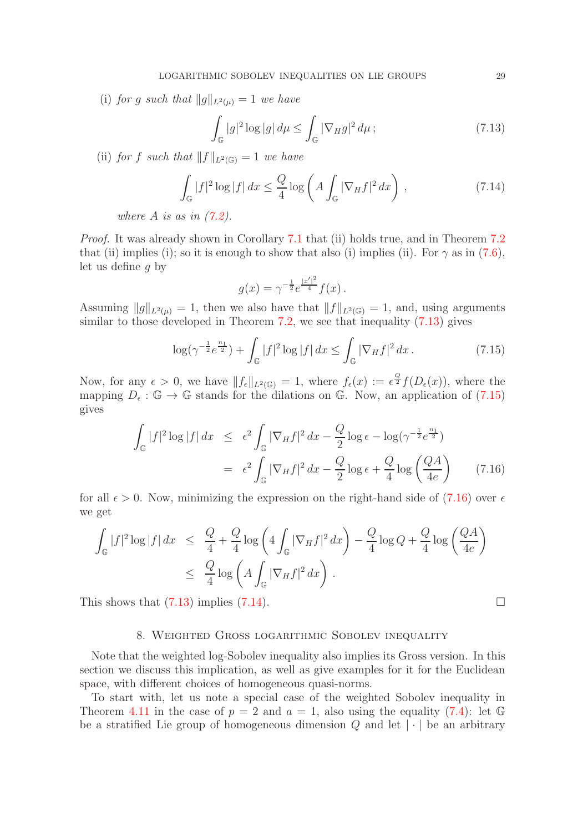(i) for g such that  $||g||_{L^2(\mu)} = 1$  we have

<span id="page-28-1"></span>
$$
\int_{\mathbb{G}} |g|^2 \log |g| \, d\mu \le \int_{\mathbb{G}} |\nabla_H g|^2 \, d\mu \, ; \tag{7.13}
$$

(ii) for f such that  $||f||_{L^2(\mathbb{G})} = 1$  we have

<span id="page-28-4"></span>
$$
\int_{\mathbb{G}} |f|^2 \log |f| \, dx \le \frac{Q}{4} \log \left( A \int_{\mathbb{G}} |\nabla_H f|^2 \, dx \right) \,, \tag{7.14}
$$

where A is as in  $(7.2)$ .

Proof. It was already shown in Corollary [7.1](#page-24-2) that (ii) holds true, and in Theorem [7.2](#page-25-0) that (ii) implies (i); so it is enough to show that also (i) implies (ii). For  $\gamma$  as in [\(7.6\)](#page-25-4), let us define g by

$$
g(x) = \gamma^{-\frac{1}{2}} e^{\frac{|x'|^2}{4}} f(x) .
$$

Assuming  $||g||_{L^2(\mu)} = 1$ , then we also have that  $||f||_{L^2(\mathbb{G})} = 1$ , and, using arguments similar to those developed in Theorem [7.2,](#page-25-0) we see that inequality [\(7.13\)](#page-28-1) gives

<span id="page-28-2"></span>
$$
\log(\gamma^{-\frac{1}{2}}e^{\frac{n_1}{2}}) + \int_{\mathbb{G}} |f|^2 \log |f| \, dx \le \int_{\mathbb{G}} |\nabla_H f|^2 \, dx \,. \tag{7.15}
$$

Now, for any  $\epsilon > 0$ , we have  $||f_{\epsilon}||_{L^{2}(\mathbb{G})} = 1$ , where  $f_{\epsilon}(x) := \epsilon^{\frac{Q}{2}} f(D_{\epsilon}(x))$ , where the mapping  $D_{\epsilon} : \mathbb{G} \to \mathbb{G}$  stands for the dilations on  $\mathbb{G}$ . Now, an application of [\(7.15\)](#page-28-2) gives

<span id="page-28-3"></span>
$$
\int_{\mathbb{G}} |f|^2 \log |f| dx \le \epsilon^2 \int_{\mathbb{G}} |\nabla_H f|^2 dx - \frac{Q}{2} \log \epsilon - \log(\gamma^{-\frac{1}{2}} e^{\frac{n_1}{2}})
$$
  

$$
= \epsilon^2 \int_{\mathbb{G}} |\nabla_H f|^2 dx - \frac{Q}{2} \log \epsilon + \frac{Q}{4} \log \left(\frac{QA}{4e}\right) \qquad (7.16)
$$

for all  $\epsilon > 0$ . Now, minimizing the expression on the right-hand side of [\(7.16\)](#page-28-3) over  $\epsilon$ we get

$$
\int_{\mathbb{G}} |f|^2 \log |f| dx \leq \frac{Q}{4} + \frac{Q}{4} \log \left( 4 \int_{\mathbb{G}} |\nabla_H f|^2 dx \right) - \frac{Q}{4} \log Q + \frac{Q}{4} \log \left( \frac{QA}{4e} \right)
$$
  

$$
\leq \frac{Q}{4} \log \left( A \int_{\mathbb{G}} |\nabla_H f|^2 dx \right).
$$

<span id="page-28-0"></span>This shows that  $(7.13)$  implies  $(7.14)$ .

# 8. Weighted Gross logarithmic Sobolev inequality

Note that the weighted log-Sobolev inequality also implies its Gross version. In this section we discuss this implication, as well as give examples for it for the Euclidean space, with different choices of homogeneous quasi-norms.

To start with, let us note a special case of the weighted Sobolev inequality in Theorem [4.11](#page-15-0) in the case of  $p = 2$  and  $a = 1$ , also using the equality [\(7.4\)](#page-25-2): let  $\mathbb{G}$ be a stratified Lie group of homogeneous dimension  $Q$  and let  $|\cdot|$  be an arbitrary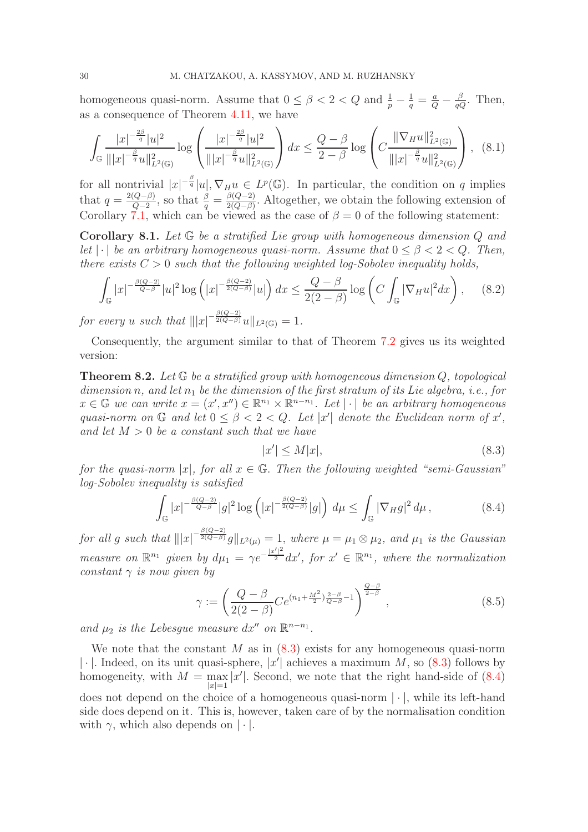homogeneous quasi-norm. Assume that  $0 \leq \beta < 2 < Q$  and  $\frac{1}{p} - \frac{1}{q} = \frac{a}{Q} - \frac{\beta}{qQ}$ . Then, as a consequence of Theorem [4.11,](#page-15-0) we have

$$
\int_{\mathbb{G}} \frac{|x|^{-\frac{2\beta}{q}}|u|^2}{\||x|^{-\frac{\beta}{q}}u\|_{L^2(\mathbb{G})}^2} \log \left(\frac{|x|^{-\frac{2\beta}{q}}|u|^2}{\||x|^{-\frac{\beta}{q}}u\|_{L^2(\mathbb{G})}^2}\right) dx \le \frac{Q-\beta}{2-\beta} \log \left(C\frac{\|\nabla_H u\|_{L^2(\mathbb{G})}^2}{\||x|^{-\frac{\beta}{q}}u\|_{L^2(\mathbb{G})}^2}\right), (8.1)
$$

for all nontrivial  $|x|^{-\frac{\beta}{q}}|u|, \nabla_H u \in L^p(\mathbb{G})$ . In particular, the condition on q implies that  $q = \frac{2(Q-\beta)}{Q-2}$  $\frac{(Q-\beta)}{Q-2}$ , so that  $\frac{\beta}{q} = \frac{\beta(Q-2)}{2(Q-\beta)}$  $\frac{\rho(Q-2)}{2(Q-\beta)}$ . Altogether, we obtain the following extension of Corollary [7.1,](#page-24-2) which can be viewed as the case of  $\beta = 0$  of the following statement:

**Corollary 8.1.** Let  $\mathbb{G}$  be a stratified Lie group with homogeneous dimension Q and let | · | be an arbitrary homogeneous quasi-norm. Assume that  $0 \leq \beta < 2 < Q$ . Then, there exists  $C > 0$  such that the following weighted log-Sobolev inequality holds,

<span id="page-29-3"></span>
$$
\int_{\mathbb{G}} |x|^{-\frac{\beta(Q-2)}{Q-\beta}} |u|^2 \log \left( |x|^{-\frac{\beta(Q-2)}{2(Q-\beta)}} |u| \right) dx \le \frac{Q-\beta}{2(2-\beta)} \log \left( C \int_{\mathbb{G}} |\nabla_H u|^2 dx \right), \quad (8.2)
$$

for every u such that  $|||x|^{-\frac{\beta(Q-2)}{2(Q-\beta)}}u||_{L^2(\mathbb{G})}=1.$ 

Consequently, the argument similar to that of Theorem [7.2](#page-25-0) gives us its weighted version:

<span id="page-29-0"></span>**Theorem 8.2.** Let  $\mathbb{G}$  be a stratified group with homogeneous dimension  $Q$ , topological dimension n, and let  $n_1$  be the dimension of the first stratum of its Lie algebra, i.e., for  $x \in \mathbb{G}$  we can write  $x = (x', x'') \in \mathbb{R}^{n_1} \times \mathbb{R}^{n-n_1}$ . Let  $|\cdot|$  be an arbitrary homogeneous quasi-norm on  $\mathbb G$  and let  $0 \leq \beta < 2 < Q$ . Let  $|x'|$  denote the Euclidean norm of x', and let  $M > 0$  be a constant such that we have

<span id="page-29-1"></span>
$$
|x'| \le M|x|,\tag{8.3}
$$

for the quasi-norm |x|, for all  $x \in \mathbb{G}$ . Then the following weighted "semi-Gaussian" log-Sobolev inequality is satisfied

<span id="page-29-2"></span>
$$
\int_{\mathbb{G}} |x|^{-\frac{\beta(Q-2)}{Q-\beta}} |g|^2 \log \left( |x|^{-\frac{\beta(Q-2)}{2(Q-\beta)}} |g| \right) d\mu \le \int_{\mathbb{G}} |\nabla_H g|^2 d\mu, \tag{8.4}
$$

for all g such that  $|||x|^{-\frac{\beta(Q-2)}{2(Q-\beta)}}g||_{L^2(\mu)}=1$ , where  $\mu=\mu_1\otimes\mu_2$ , and  $\mu_1$  is the Gaussian measure on  $\mathbb{R}^{n_1}$  given by  $d\mu_1 = \gamma e^{-\frac{|x'|^2}{2}} dx'$ , for  $x' \in \mathbb{R}^{n_1}$ , where the normalization constant  $\gamma$  is now given by

<span id="page-29-4"></span>
$$
\gamma := \left(\frac{Q - \beta}{2(2 - \beta)} C e^{(n_1 + \frac{M^2}{2})\frac{2 - \beta}{Q - \beta} - 1}\right)^{\frac{Q - \beta}{2 - \beta}},
$$
\n(8.5)

and  $\mu_2$  is the Lebesgue measure  $dx''$  on  $\mathbb{R}^{n-n_1}$ .

We note that the constant M as in  $(8.3)$  exists for any homogeneous quasi-norm  $|\cdot|$ . Indeed, on its unit quasi-sphere, |x'| achieves a maximum M, so [\(8.3\)](#page-29-1) follows by homogeneity, with  $M = \max |x'|$ . Second, we note that the right hand-side of [\(8.4\)](#page-29-2)  $|x|=1$ does not depend on the choice of a homogeneous quasi-norm  $|\cdot|$ , while its left-hand side does depend on it. This is, however, taken care of by the normalisation condition with  $\gamma$ , which also depends on  $|\cdot|$ .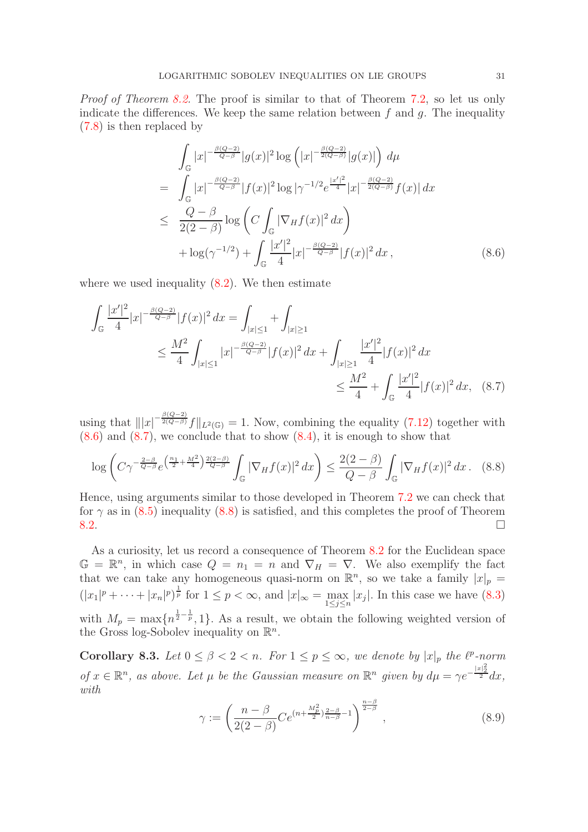Proof of Theorem [8.2.](#page-29-0) The proof is similar to that of Theorem [7.2,](#page-25-0) so let us only indicate the differences. We keep the same relation between  $f$  and  $g$ . The inequality [\(7.8\)](#page-26-2) is then replaced by

<span id="page-30-2"></span>
$$
\int_{\mathbb{G}} |x|^{-\frac{\beta(Q-2)}{Q-\beta}} |g(x)|^2 \log \left( |x|^{-\frac{\beta(Q-2)}{2(Q-\beta)}} |g(x)| \right) d\mu
$$
\n
$$
= \int_{\mathbb{G}} |x|^{-\frac{\beta(Q-2)}{Q-\beta}} |f(x)|^2 \log |\gamma^{-1/2} e^{\frac{|x'|^2}{4}} |x|^{-\frac{\beta(Q-2)}{2(Q-\beta)}} f(x)| dx
$$
\n
$$
\leq \frac{Q-\beta}{2(2-\beta)} \log \left( C \int_{\mathbb{G}} |\nabla_H f(x)|^2 dx \right)
$$
\n
$$
+ \log(\gamma^{-1/2}) + \int_{\mathbb{G}} \frac{|x'|^2}{4} |x|^{-\frac{\beta(Q-2)}{Q-\beta}} |f(x)|^2 dx , \qquad (8.6)
$$

where we used inequality  $(8.2)$ . We then estimate

$$
\int_{\mathbb{G}} \frac{|x'|^2}{4} |x|^{-\frac{\beta(Q-2)}{Q-\beta}} |f(x)|^2 dx = \int_{|x|\leq 1} + \int_{|x|\geq 1} + \int_{|x|\geq 1} + \int_{|x|\geq 1} + \int_{|x|\geq 1} + \int_{|x|\geq 1} + \int_{|x|\geq 1} + \int_{|x|\geq 1} + \int_{|x|\geq 1} + \int_{|x|\geq 1} + \int_{|x|\geq 1} + \int_{|x|\geq 1} + \int_{|x|\geq 1} + \int_{|x|\geq 1} + \int_{|x|\geq 1} + \int_{|x|\geq 1} + \int_{|x|\geq 1} + \int_{|x|\geq 1} + \int_{|x|\geq 1} + \int_{|x|\geq 1} + \int_{|x|\geq 1} + \int_{|x|\geq 1} + \int_{|x|\geq 1} + \int_{|x|\geq 1} + \int_{|x|\geq 1} + \int_{|x|\geq 1} + \int_{|x|\geq 1} + \int_{|x|\geq 1} + \int_{|x|\geq 1} + \int_{|x|\geq 1} + \int_{|x|\geq 1} + \int_{|x|\geq 1} + \int_{|x|\geq 1} + \int_{|x|\geq 1} + \int_{|x|\geq 1} + \int_{|x|\geq 1} + \int_{|x|\geq 1} + \int_{|x|\geq 1} + \int_{|x|\geq 1} + \int_{|x|\geq 1} + \int_{|x|\geq 1} + \int_{|x|\geq 1} + \int_{|x|\geq 1} + \int_{|x|\geq 1} + \int_{|x|\geq 1} + \int_{|x|\geq 1} + \int_{|x|\geq 1} + \int_{|x|\geq 1} + \int_{|x|\geq 1} + \int_{|x|\geq 1} + \int_{|x|\geq 1} + \int_{|x|\geq 1} + \int_{|x|\geq 1} + \int_{|x|\geq 1} + \int_{|x|\geq 1} + \int_{|x|\geq 1} + \int_{|x|\geq 1} + \int_{|x|\geq 1} + \int_{|x|\geq 1} + \int_{|x|\geq
$$

using that  $||x|^{-\frac{\beta(Q-2)}{2(Q-\beta)}}f||_{L^2(\mathbb{G})}=1$ . Now, combining the equality [\(7.12\)](#page-27-2) together with  $(8.6)$  and  $(8.7)$ , we conclude that to show  $(8.4)$ , it is enough to show that

<span id="page-30-4"></span><span id="page-30-3"></span>
$$
\log\left(C\gamma^{-\frac{2-\beta}{Q-\beta}}e^{\left(\frac{n_1}{2}+\frac{M^2}{4}\right)\frac{2(2-\beta)}{Q-\beta}}\int_{\mathbb{G}}|\nabla_Hf(x)|^2\,dx\right)\le\frac{2(2-\beta)}{Q-\beta}\int_{\mathbb{G}}|\nabla_Hf(x)|^2\,dx.\quad(8.8)
$$

Hence, using arguments similar to those developed in Theorem [7.2](#page-25-0) we can check that for  $\gamma$  as in [\(8.5\)](#page-29-4) inequality [\(8.8\)](#page-30-4) is satisfied, and this completes the proof of Theorem  $8.2.$ 

As a curiosity, let us record a consequence of Theorem [8.2](#page-29-0) for the Euclidean space  $\mathbb{G} = \mathbb{R}^n$ , in which case  $Q = n_1 = n$  and  $\nabla_H = \nabla$ . We also exemplify the fact that we can take any homogeneous quasi-norm on  $\mathbb{R}^n$ , so we take a family  $|x|_p =$  $(|x_1|^p + \cdots + |x_n|^p)^{\frac{1}{p}}$  for  $1 \leq p < \infty$ , and  $|x|_{\infty} = \max_{1 \leq j \leq n} |x_j|$ . In this case we have [\(8.3\)](#page-29-1) with  $M_p = \max\{n^{\frac{1}{2}-\frac{1}{p}}, 1\}$ . As a result, we obtain the following weighted version of the Gross log-Sobolev inequality on  $\mathbb{R}^n$ .

<span id="page-30-1"></span>**Corollary 8.3.** Let  $0 \le \beta < 2 < n$ . For  $1 \le p \le \infty$ , we denote by  $|x|_p$  the  $\ell^p$ -norm of  $x \in \mathbb{R}^n$ , as above. Let  $\mu$  be the Gaussian measure on  $\mathbb{R}^n$  given by  $d\mu = \gamma e^{-\frac{|x|^2}{2}} dx$ , with

<span id="page-30-0"></span>
$$
\gamma := \left(\frac{n-\beta}{2(2-\beta)} Ce^{(n+\frac{M_p^2}{2})\frac{2-\beta}{n-\beta}-1}\right)^{\frac{n-\beta}{2-\beta}},
$$
\n(8.9)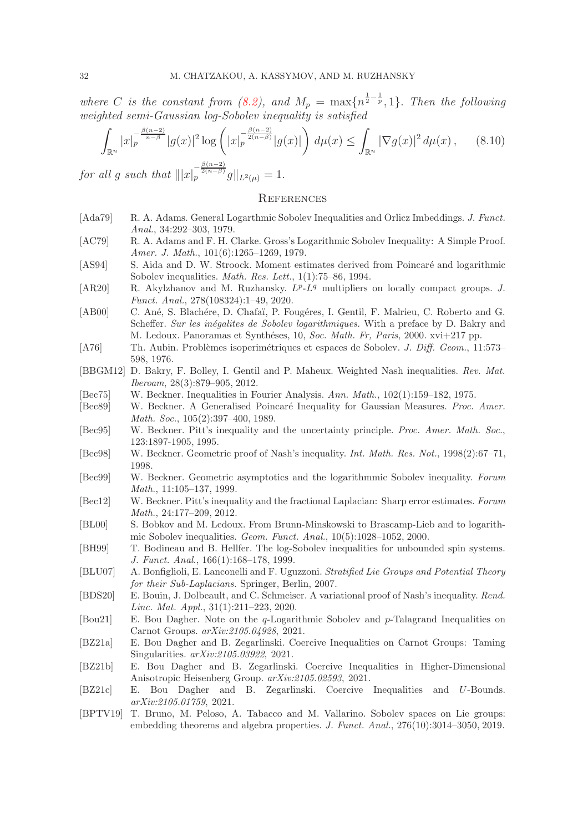where C is the constant from [\(8.2\)](#page-29-3), and  $M_p = \max\{n^{\frac{1}{2} - \frac{1}{p}}, 1\}$ . Then the following weighted semi-Gaussian log-Sobolev inequality is satisfied

$$
\int_{\mathbb{R}^n} |x|_p^{-\frac{\beta(n-2)}{n-\beta}} |g(x)|^2 \log \left( |x|_p^{-\frac{\beta(n-2)}{2(n-\beta)}} |g(x)| \right) d\mu(x) \le \int_{\mathbb{R}^n} |\nabla g(x)|^2 d\mu(x), \qquad (8.10)
$$

for all g such that  $|||x|_p^{-\frac{\beta(n-2)}{2(n-\beta)}}g||_{L^2(\mu)} = 1.$ 

### <span id="page-31-0"></span>**REFERENCES**

- <span id="page-31-16"></span>[Ada79] R. A. Adams. General Logarthmic Sobolev Inequalities and Orlicz Imbeddings. J. Funct. Anal., 34:292–303, 1979.
- <span id="page-31-17"></span>[AC79] R. A. Adams and F. H. Clarke. Gross's Logarithmic Sobolev Inequality: A Simple Proof. Amer. J. Math., 101(6):1265–1269, 1979.
- <span id="page-31-20"></span>[AS94] S. Aida and D. W. Stroock. Moment estimates derived from Poincaré and logarithmic Sobolev inequalities. Math. Res. Lett., 1(1):75–86, 1994.
- <span id="page-31-2"></span>[AR20] R. Akylzhanov and M. Ruzhansky.  $L^p$ - $L^q$  multipliers on locally compact groups. J. Funct. Anal., 278(108324):1–49, 2020.
- <span id="page-31-4"></span>[AB00] C. Ané, S. Blachére, D. Chafaï, P. Fougéres, I. Gentil, F. Malrieu, C. Roberto and G. Scheffer. Sur les inégalites de Sobolev logarithmiques. With a preface by D. Bakry and M. Ledoux. Panoramas et Synthéses, 10, Soc. Math. Fr, Paris, 2000. xvi+217 pp.
- <span id="page-31-1"></span>[A76] Th. Aubin. Problèmes isoperimétriques et espaces de Sobolev. J. Diff. Geom., 11:573– 598, 1976.
- <span id="page-31-12"></span>[BBGM12] D. Bakry, F. Bolley, I. Gentil and P. Maheux. Weighted Nash inequalities. Rev. Mat. Iberoam, 28(3):879–905, 2012.
- <span id="page-31-15"></span>[Bec75] W. Beckner. Inequalities in Fourier Analysis. Ann. Math., 102(1):159–182, 1975.
- <span id="page-31-19"></span>[Bec89] W. Beckner. A Generalised Poincaré Inequality for Gaussian Measures. Proc. Amer. Math. Soc., 105(2):397–400, 1989.
- <span id="page-31-18"></span>[Bec95] W. Beckner. Pitt's inequality and the uncertainty principle. Proc. Amer. Math. Soc., 123:1897-1905, 1995.
- <span id="page-31-10"></span>[Bec98] W. Beckner. Geometric proof of Nash's inequality. Int. Math. Res. Not., 1998(2):67–71, 1998.
- [Bec99] W. Beckner. Geometric asymptotics and the logarithmmic Sobolev inequality. Forum Math., 11:105–137, 1999.
- <span id="page-31-13"></span>[Bec12] W. Beckner. Pitt's inequality and the fractional Laplacian: Sharp error estimates. Forum Math., 24:177–209, 2012.
- <span id="page-31-5"></span>[BL00] S. Bobkov and M. Ledoux. From Brunn-Minskowski to Brascamp-Lieb and to logarithmic Sobolev inequalities. Geom. Funct. Anal., 10(5):1028–1052, 2000.
- <span id="page-31-14"></span>[BH99] T. Bodineau and B. Hellfer. The log-Sobolev inequalities for unbounded spin systems. J. Funct. Anal., 166(1):168–178, 1999.
- <span id="page-31-21"></span>[BLU07] A. Bonfiglioli, E. Lanconelli and F. Uguzzoni. Stratified Lie Groups and Potential Theory for their Sub-Laplacians. Springer, Berlin, 2007.
- <span id="page-31-11"></span>[BDS20] E. Bouin, J. Dolbeault, and C. Schmeiser. A variational proof of Nash's inequality. Rend. Linc. Mat. Appl., 31(1):211–223, 2020.
- <span id="page-31-6"></span>[Bou21] E. Bou Dagher. Note on the q-Logarithmic Sobolev and p-Talagrand Inequalities on Carnot Groups. arXiv:2105.04928, 2021.
- <span id="page-31-7"></span>[BZ21a] E. Bou Dagher and B. Zegarlinski. Coercive Inequalities on Carnot Groups: Taming Singularities.  $arXiv:2105.03922$ , 2021.
- <span id="page-31-8"></span>[BZ21b] E. Bou Dagher and B. Zegarlinski. Coercive Inequalities in Higher-Dimensional Anisotropic Heisenberg Group. arXiv:2105.02593, 2021.
- <span id="page-31-9"></span>[BZ21c] E. Bou Dagher and B. Zegarlinski. Coercive Inequalities and U-Bounds. arXiv:2105.01759, 2021.
- <span id="page-31-3"></span>[BPTV19] T. Bruno, M. Peloso, A. Tabacco and M. Vallarino. Sobolev spaces on Lie groups: embedding theorems and algebra properties. J. Funct. Anal., 276(10):3014–3050, 2019.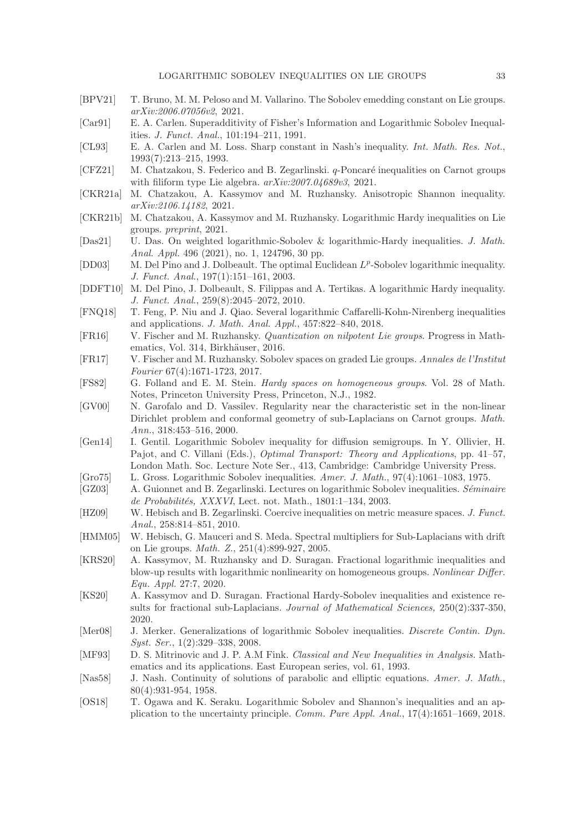- <span id="page-32-1"></span>[BPV21] T. Bruno, M. M. Peloso and M. Vallarino. The Sobolev emedding constant on Lie groups. arXiv:2006.07056v2, 2021.
- <span id="page-32-15"></span>[Car91] E. A. Carlen. Superadditivity of Fisher's Information and Logarithmic Sobolev Inequalities. J. Funct. Anal., 101:194–211, 1991.
- <span id="page-32-24"></span>[CL93] E. A. Carlen and M. Loss. Sharp constant in Nash's inequality. Int. Math. Res. Not., 1993(7):213–215, 1993.
- <span id="page-32-18"></span>[CFZ21] M. Chatzakou, S. Federico and B. Zegarlinski. q-Poncaré inequalities on Carnot groups with filiform type Lie algebra.  $arXiv:2007.04689v3$ , 2021.
- <span id="page-32-21"></span>[CKR21a] M. Chatzakou, A. Kassymov and M. Ruzhansky. Anisotropic Shannon inequality. arXiv:2106.14182, 2021.
- <span id="page-32-19"></span>[CKR21b] M. Chatzakou, A. Kassymov and M. Ruzhansky. Logarithmic Hardy inequalities on Lie groups. preprint, 2021.
- <span id="page-32-20"></span>[Das21] U. Das. On weighted logarithmic-Sobolev & logarithmic-Hardy inequalities. J. Math. Anal. Appl. 496 (2021), no. 1, 124796, 30 pp.
- <span id="page-32-3"></span>[DD03] M. Del Pino and J. Dolbeault. The optimal Euclidean  $L^p$ -Sobolev logarithmic inequality. J. Funct. Anal., 197(1):151–161, 2003.
- <span id="page-32-8"></span>[DDFT10] M. Del Pino, J. Dolbeault, S. Filippas and A. Tertikas. A logarithmic Hardy inequality. J. Funct. Anal., 259(8):2045–2072, 2010.
- <span id="page-32-5"></span>[FNQ18] T. Feng, P. Niu and J. Qiao. Several logarithmic Caffarelli-Kohn-Nirenberg inequalities and applications. J. Math. Anal. Appl., 457:822–840, 2018.
- <span id="page-32-22"></span>[FR16] V. Fischer and M. Ruzhansky. Quantization on nilpotent Lie groups. Progress in Mathematics, Vol. 314, Birkhäuser, 2016.
- <span id="page-32-2"></span>[FR17] V. Fischer and M. Ruzhansky. Sobolev spaces on graded Lie groups. Annales de l'Institut Fourier 67(4):1671-1723, 2017.
- <span id="page-32-14"></span>[FS82] G. Folland and E. M. Stein. Hardy spaces on homogeneous groups. Vol. 28 of Math. Notes, Princeton University Press, Princeton, N.J., 1982.
- <span id="page-32-0"></span>[GV00] N. Garofalo and D. Vassilev. Regularity near the characteristic set in the non-linear Dirichlet problem and conformal geometry of sub-Laplacians on Carnot groups. Math. Ann., 318:453–516, 2000.
- <span id="page-32-17"></span>[Gen14] I. Gentil. Logarithmic Sobolev inequality for diffusion semigroups. In Y. Ollivier, H. Pajot, and C. Villani (Eds.), Optimal Transport: Theory and Applications, pp. 41–57, London Math. Soc. Lecture Note Ser., 413, Cambridge: Cambridge University Press.
- <span id="page-32-16"></span>[Gro75] L. Gross. Logarithmic Sobolev inequalities. Amer. J. Math., 97(4):1061–1083, 1975.
- <span id="page-32-9"></span> $[GZ03]$  A. Guionnet and B. Zegarlinski. Lectures on logarithmic Sobolev inequalities. Séminaire de Probabilités, XXXVI, Lect. not. Math., 1801:1-134, 2003.
- <span id="page-32-11"></span>[HZ09] W. Hebisch and B. Zegarlinski. Coercive inequalities on metric measure spaces. J. Funct. Anal., 258:814–851, 2010.
- <span id="page-32-23"></span>[HMM05] W. Hebisch, G. Mauceri and S. Meda. Spectral multipliers for Sub-Laplacians with drift on Lie groups. Math. Z., 251(4):899-927, 2005.
- <span id="page-32-6"></span>[KRS20] A. Kassymov, M. Ruzhansky and D. Suragan. Fractional logarithmic inequalities and blow-up results with logarithmic nonlinearity on homogeneous groups. Nonlinear Differ. Equ. Appl. 27:7, 2020.
- <span id="page-32-7"></span>[KS20] A. Kassymov and D. Suragan. Fractional Hardy-Sobolev inequalities and existence results for fractional sub-Laplacians. Journal of Mathematical Sciences, 250(2):337-350, 2020.
- <span id="page-32-4"></span>[Mer08] J. Merker. Generalizations of logarithmic Sobolev inequalities. Discrete Contin. Dyn. Syst. Ser., 1(2):329–338, 2008.
- <span id="page-32-10"></span>[MF93] D. S. Mitrinovic and J. P. A.M Fink. Classical and New Inequalities in Analysis. Mathematics and its applications. East European series, vol. 61, 1993.
- <span id="page-32-12"></span>[Nas58] J. Nash. Continuity of solutions of parabolic and elliptic equations. Amer. J. Math., 80(4):931-954, 1958.
- <span id="page-32-13"></span>[OS18] T. Ogawa and K. Seraku. Logarithmic Sobolev and Shannon's inequalities and an application to the uncertainty principle. Comm. Pure Appl. Anal., 17(4):1651–1669, 2018.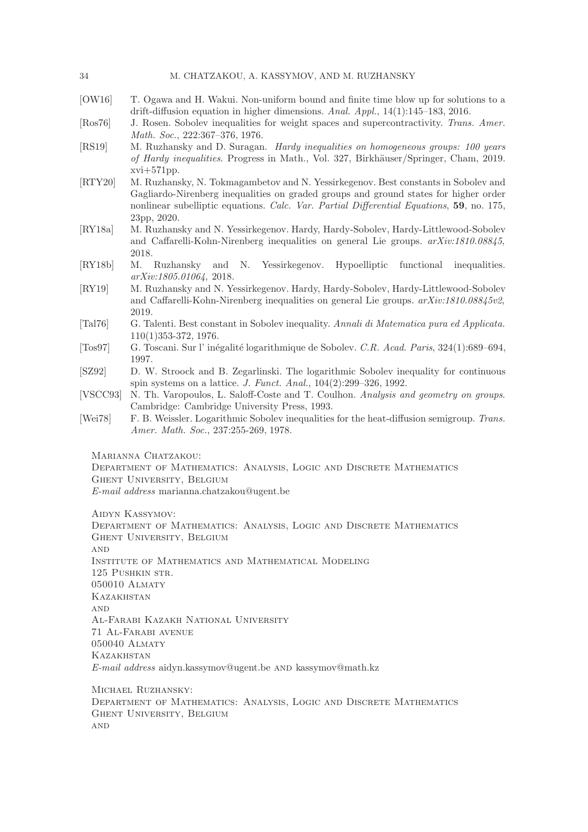#### 34 M. CHATZAKOU, A. KASSYMOV, AND M. RUZHANSKY

- <span id="page-33-5"></span>[OW16] T. Ogawa and H. Wakui. Non-uniform bound and finite time blow up for solutions to a drift-diffusion equation in higher dimensions. Anal. Appl., 14(1):145–183, 2016.
- <span id="page-33-6"></span>[Ros76] J. Rosen. Sobolev inequalities for weight spaces and supercontractivity. Trans. Amer. Math. Soc., 222:367–376, 1976.
- <span id="page-33-9"></span>[RS19] M. Ruzhansky and D. Suragan. Hardy inequalities on homogeneous groups: 100 years of Hardy inequalities. Progress in Math., Vol. 327, Birkh¨auser/Springer, Cham, 2019. xvi+571pp.
- <span id="page-33-3"></span>[RTY20] M. Ruzhansky, N. Tokmagambetov and N. Yessirkegenov. Best constants in Sobolev and Gagliardo-Nirenberg inequalities on graded groups and ground states for higher order nonlinear subelliptic equations. Calc. Var. Partial Differential Equations, 59, no. 175, 23pp, 2020.
- <span id="page-33-11"></span>[RY18a] M. Ruzhansky and N. Yessirkegenov. Hardy, Hardy-Sobolev, Hardy-Littlewood-Sobolev and Caffarelli-Kohn-Nirenberg inequalities on general Lie groups. arXiv:1810.08845, 2018.
- <span id="page-33-10"></span>[RY18b] M. Ruzhansky and N. Yessirkegenov. Hypoelliptic functional inequalities. arXiv:1805.01064, 2018.
- <span id="page-33-2"></span>[RY19] M. Ruzhansky and N. Yessirkegenov. Hardy, Hardy-Sobolev, Hardy-Littlewood-Sobolev and Caffarelli-Kohn-Nirenberg inequalities on general Lie groups. arXiv:1810.08845v2, 2019.
- <span id="page-33-0"></span>[Tal76] G. Talenti. Best constant in Sobolev inequality. Annali di Matematica pura ed Applicata. 110(1)353-372, 1976.
- <span id="page-33-7"></span>[Tos97] G. Toscani. Sur l' inégalité logarithmique de Sobolev. C.R. Acad. Paris, 324(1):689–694, 1997.
- <span id="page-33-8"></span>[SZ92] D. W. Stroock and B. Zegarlinski. The logarithmic Sobolev inequality for continuous spin systems on a lattice. J. Funct. Anal., 104(2):299–326, 1992.
- <span id="page-33-1"></span>[VSCC93] N. Th. Varopoulos, L. Saloff-Coste and T. Coulhon. Analysis and geometry on groups. Cambridge: Cambridge University Press, 1993.
- <span id="page-33-4"></span>[Wei78] F. B. Weissler. Logarithmic Sobolev inequalities for the heat-diffusion semigroup. Trans. Amer. Math. Soc., 237:255-269, 1978.
	- Marianna Chatzakou:

Department of Mathematics: Analysis, Logic and Discrete Mathematics Ghent University, Belgium E-mail address marianna.chatzakou@ugent.be

Aidyn Kassymov:

Department of Mathematics: Analysis, Logic and Discrete Mathematics Ghent University, Belgium **AND** Institute of Mathematics and Mathematical Modeling 125 Pushkin str. 050010 Almaty **KAZAKHSTAN AND** Al-Farabi Kazakh National University 71 Al-Farabi avenue 050040 Almaty **KAZAKHSTAN** E-mail address aidyn.kassymov@ugent.be and kassymov@math.kz

Michael Ruzhansky: Department of Mathematics: Analysis, Logic and Discrete Mathematics Ghent University, Belgium **AND**